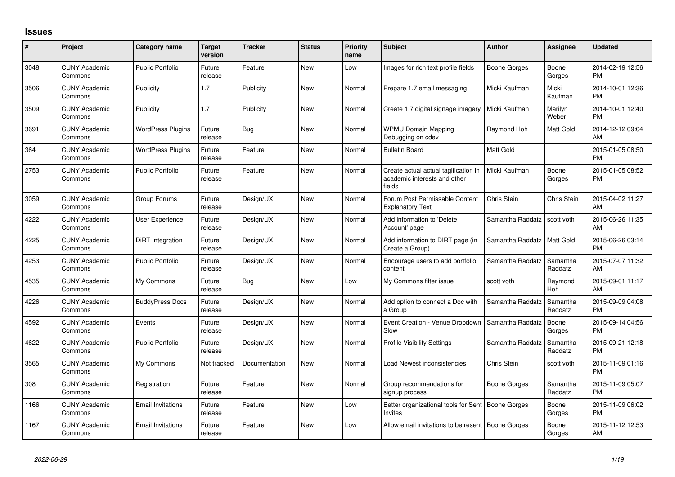## **Issues**

| #    | Project                         | <b>Category name</b>     | <b>Target</b><br>version | <b>Tracker</b> | <b>Status</b> | <b>Priority</b><br>name | <b>Subject</b>                                                                 | <b>Author</b>    | <b>Assignee</b>     | <b>Updated</b>                |
|------|---------------------------------|--------------------------|--------------------------|----------------|---------------|-------------------------|--------------------------------------------------------------------------------|------------------|---------------------|-------------------------------|
| 3048 | <b>CUNY Academic</b><br>Commons | <b>Public Portfolio</b>  | Future<br>release        | Feature        | <b>New</b>    | Low                     | Images for rich text profile fields                                            | Boone Gorges     | Boone<br>Gorges     | 2014-02-19 12:56<br><b>PM</b> |
| 3506 | <b>CUNY Academic</b><br>Commons | Publicity                | 1.7                      | Publicity      | New           | Normal                  | Prepare 1.7 email messaging                                                    | Micki Kaufman    | Micki<br>Kaufman    | 2014-10-01 12:36<br><b>PM</b> |
| 3509 | <b>CUNY Academic</b><br>Commons | Publicity                | 1.7                      | Publicity      | New           | Normal                  | Create 1.7 digital signage imagery                                             | Micki Kaufman    | Marilyn<br>Weber    | 2014-10-01 12:40<br><b>PM</b> |
| 3691 | <b>CUNY Academic</b><br>Commons | <b>WordPress Plugins</b> | Future<br>release        | Bug            | New           | Normal                  | <b>WPMU Domain Mapping</b><br>Debugging on cdev                                | Raymond Hoh      | Matt Gold           | 2014-12-12 09:04<br>AM        |
| 364  | <b>CUNY Academic</b><br>Commons | <b>WordPress Plugins</b> | Future<br>release        | Feature        | <b>New</b>    | Normal                  | <b>Bulletin Board</b>                                                          | <b>Matt Gold</b> |                     | 2015-01-05 08:50<br><b>PM</b> |
| 2753 | <b>CUNY Academic</b><br>Commons | Public Portfolio         | Future<br>release        | Feature        | New           | Normal                  | Create actual actual tagification in<br>academic interests and other<br>fields | Micki Kaufman    | Boone<br>Gorges     | 2015-01-05 08:52<br>PM        |
| 3059 | <b>CUNY Academic</b><br>Commons | Group Forums             | Future<br>release        | Design/UX      | <b>New</b>    | Normal                  | Forum Post Permissable Content<br><b>Explanatory Text</b>                      | Chris Stein      | Chris Stein         | 2015-04-02 11:27<br><b>AM</b> |
| 4222 | <b>CUNY Academic</b><br>Commons | User Experience          | Future<br>release        | Design/UX      | New           | Normal                  | Add information to 'Delete<br>Account' page                                    | Samantha Raddatz | scott voth          | 2015-06-26 11:35<br>AM        |
| 4225 | <b>CUNY Academic</b><br>Commons | DiRT Integration         | Future<br>release        | Design/UX      | <b>New</b>    | Normal                  | Add information to DIRT page (in<br>Create a Group)                            | Samantha Raddatz | Matt Gold           | 2015-06-26 03:14<br><b>PM</b> |
| 4253 | <b>CUNY Academic</b><br>Commons | Public Portfolio         | Future<br>release        | Design/UX      | New           | Normal                  | Encourage users to add portfolio<br>content                                    | Samantha Raddatz | Samantha<br>Raddatz | 2015-07-07 11:32<br>AM.       |
| 4535 | <b>CUNY Academic</b><br>Commons | My Commons               | Future<br>release        | Bug            | <b>New</b>    | Low                     | My Commons filter issue                                                        | scott voth       | Raymond<br>Hoh      | 2015-09-01 11:17<br>AM        |
| 4226 | <b>CUNY Academic</b><br>Commons | <b>BuddyPress Docs</b>   | Future<br>release        | Design/UX      | New           | Normal                  | Add option to connect a Doc with<br>a Group                                    | Samantha Raddatz | Samantha<br>Raddatz | 2015-09-09 04:08<br><b>PM</b> |
| 4592 | <b>CUNY Academic</b><br>Commons | Events                   | Future<br>release        | Design/UX      | New           | Normal                  | Event Creation - Venue Dropdown<br>Slow                                        | Samantha Raddatz | Boone<br>Gorges     | 2015-09-14 04:56<br><b>PM</b> |
| 4622 | <b>CUNY Academic</b><br>Commons | <b>Public Portfolio</b>  | Future<br>release        | Design/UX      | <b>New</b>    | Normal                  | <b>Profile Visibility Settings</b>                                             | Samantha Raddatz | Samantha<br>Raddatz | 2015-09-21 12:18<br><b>PM</b> |
| 3565 | <b>CUNY Academic</b><br>Commons | My Commons               | Not tracked              | Documentation  | New           | Normal                  | Load Newest inconsistencies                                                    | Chris Stein      | scott voth          | 2015-11-09 01:16<br><b>PM</b> |
| 308  | <b>CUNY Academic</b><br>Commons | Registration             | Future<br>release        | Feature        | New           | Normal                  | Group recommendations for<br>signup process                                    | Boone Gorges     | Samantha<br>Raddatz | 2015-11-09 05:07<br><b>PM</b> |
| 1166 | <b>CUNY Academic</b><br>Commons | <b>Email Invitations</b> | Future<br>release        | Feature        | New           | Low                     | Better organizational tools for Sent   Boone Gorges<br>Invites                 |                  | Boone<br>Gorges     | 2015-11-09 06:02<br><b>PM</b> |
| 1167 | <b>CUNY Academic</b><br>Commons | <b>Email Invitations</b> | Future<br>release        | Feature        | <b>New</b>    | Low                     | Allow email invitations to be resent                                           | Boone Gorges     | Boone<br>Gorges     | 2015-11-12 12:53<br>AM        |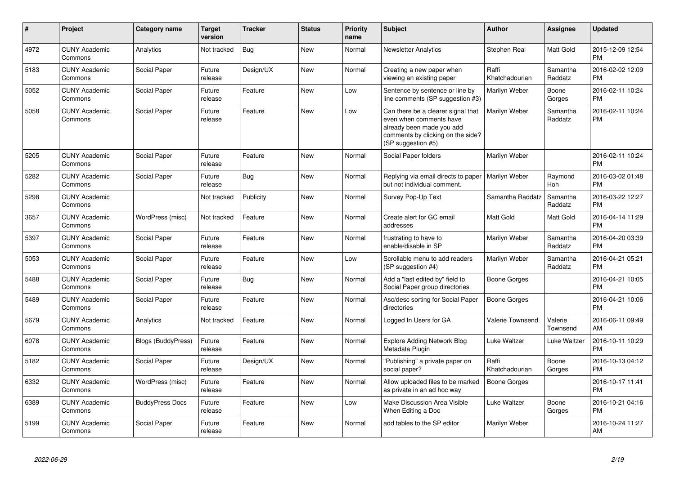| $\#$ | <b>Project</b>                  | Category name             | <b>Target</b><br>version | <b>Tracker</b> | <b>Status</b> | <b>Priority</b><br>name | Subject                                                                                                                                               | <b>Author</b>           | Assignee            | <b>Updated</b>                |
|------|---------------------------------|---------------------------|--------------------------|----------------|---------------|-------------------------|-------------------------------------------------------------------------------------------------------------------------------------------------------|-------------------------|---------------------|-------------------------------|
| 4972 | <b>CUNY Academic</b><br>Commons | Analytics                 | Not tracked              | Bug            | <b>New</b>    | Normal                  | <b>Newsletter Analytics</b>                                                                                                                           | Stephen Real            | Matt Gold           | 2015-12-09 12:54<br><b>PM</b> |
| 5183 | <b>CUNY Academic</b><br>Commons | Social Paper              | Future<br>release        | Design/UX      | <b>New</b>    | Normal                  | Creating a new paper when<br>viewing an existing paper                                                                                                | Raffi<br>Khatchadourian | Samantha<br>Raddatz | 2016-02-02 12:09<br><b>PM</b> |
| 5052 | <b>CUNY Academic</b><br>Commons | Social Paper              | Future<br>release        | Feature        | <b>New</b>    | Low                     | Sentence by sentence or line by<br>line comments (SP suggestion #3)                                                                                   | Marilyn Weber           | Boone<br>Gorges     | 2016-02-11 10:24<br><b>PM</b> |
| 5058 | <b>CUNY Academic</b><br>Commons | Social Paper              | Future<br>release        | Feature        | <b>New</b>    | Low                     | Can there be a clearer signal that<br>even when comments have<br>already been made you add<br>comments by clicking on the side?<br>(SP suggestion #5) | Marilyn Weber           | Samantha<br>Raddatz | 2016-02-11 10:24<br><b>PM</b> |
| 5205 | <b>CUNY Academic</b><br>Commons | Social Paper              | Future<br>release        | Feature        | <b>New</b>    | Normal                  | Social Paper folders                                                                                                                                  | Marilyn Weber           |                     | 2016-02-11 10:24<br><b>PM</b> |
| 5282 | <b>CUNY Academic</b><br>Commons | Social Paper              | Future<br>release        | Bug            | <b>New</b>    | Normal                  | Replying via email directs to paper<br>but not individual comment.                                                                                    | Marilyn Weber           | Raymond<br>Hoh      | 2016-03-02 01:48<br><b>PM</b> |
| 5298 | <b>CUNY Academic</b><br>Commons |                           | Not tracked              | Publicity      | New           | Normal                  | Survey Pop-Up Text                                                                                                                                    | Samantha Raddatz        | Samantha<br>Raddatz | 2016-03-22 12:27<br><b>PM</b> |
| 3657 | <b>CUNY Academic</b><br>Commons | WordPress (misc)          | Not tracked              | Feature        | New           | Normal                  | Create alert for GC email<br>addresses                                                                                                                | <b>Matt Gold</b>        | Matt Gold           | 2016-04-14 11:29<br><b>PM</b> |
| 5397 | <b>CUNY Academic</b><br>Commons | Social Paper              | Future<br>release        | Feature        | New           | Normal                  | frustrating to have to<br>enable/disable in SP                                                                                                        | Marilyn Weber           | Samantha<br>Raddatz | 2016-04-20 03:39<br><b>PM</b> |
| 5053 | <b>CUNY Academic</b><br>Commons | Social Paper              | Future<br>release        | Feature        | New           | Low                     | Scrollable menu to add readers<br>(SP suggestion #4)                                                                                                  | Marilyn Weber           | Samantha<br>Raddatz | 2016-04-21 05:21<br><b>PM</b> |
| 5488 | <b>CUNY Academic</b><br>Commons | Social Paper              | Future<br>release        | Bug            | <b>New</b>    | Normal                  | Add a "last edited by" field to<br>Social Paper group directories                                                                                     | Boone Gorges            |                     | 2016-04-21 10:05<br><b>PM</b> |
| 5489 | <b>CUNY Academic</b><br>Commons | Social Paper              | Future<br>release        | Feature        | <b>New</b>    | Normal                  | Asc/desc sorting for Social Paper<br>directories                                                                                                      | Boone Gorges            |                     | 2016-04-21 10:06<br><b>PM</b> |
| 5679 | <b>CUNY Academic</b><br>Commons | Analytics                 | Not tracked              | Feature        | <b>New</b>    | Normal                  | Logged In Users for GA                                                                                                                                | <b>Valerie Townsend</b> | Valerie<br>Townsend | 2016-06-11 09:49<br>AM        |
| 6078 | <b>CUNY Academic</b><br>Commons | <b>Blogs (BuddyPress)</b> | Future<br>release        | Feature        | <b>New</b>    | Normal                  | <b>Explore Adding Network Blog</b><br>Metadata Plugin                                                                                                 | Luke Waltzer            | Luke Waltzer        | 2016-10-11 10:29<br><b>PM</b> |
| 5182 | <b>CUNY Academic</b><br>Commons | Social Paper              | Future<br>release        | Design/UX      | New           | Normal                  | "Publishing" a private paper on<br>social paper?                                                                                                      | Raffi<br>Khatchadourian | Boone<br>Gorges     | 2016-10-13 04:12<br><b>PM</b> |
| 6332 | <b>CUNY Academic</b><br>Commons | WordPress (misc)          | Future<br>release        | Feature        | <b>New</b>    | Normal                  | Allow uploaded files to be marked<br>as private in an ad hoc way                                                                                      | <b>Boone Gorges</b>     |                     | 2016-10-17 11:41<br><b>PM</b> |
| 6389 | <b>CUNY Academic</b><br>Commons | <b>BuddyPress Docs</b>    | Future<br>release        | Feature        | <b>New</b>    | Low                     | Make Discussion Area Visible<br>When Editing a Doc                                                                                                    | Luke Waltzer            | Boone<br>Gorges     | 2016-10-21 04:16<br><b>PM</b> |
| 5199 | <b>CUNY Academic</b><br>Commons | Social Paper              | Future<br>release        | Feature        | New           | Normal                  | add tables to the SP editor                                                                                                                           | Marilyn Weber           |                     | 2016-10-24 11:27<br>AM        |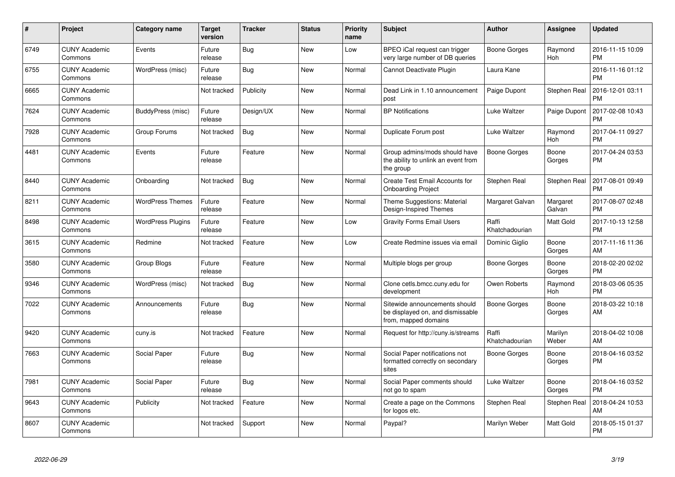| #    | <b>Project</b>                  | Category name            | <b>Target</b><br>version | <b>Tracker</b> | <b>Status</b> | <b>Priority</b><br>name | <b>Subject</b>                                                                            | <b>Author</b>           | Assignee            | <b>Updated</b>                |
|------|---------------------------------|--------------------------|--------------------------|----------------|---------------|-------------------------|-------------------------------------------------------------------------------------------|-------------------------|---------------------|-------------------------------|
| 6749 | <b>CUNY Academic</b><br>Commons | Events                   | Future<br>release        | Bug            | <b>New</b>    | Low                     | BPEO iCal request can trigger<br>very large number of DB queries                          | Boone Gorges            | Raymond<br>Hoh      | 2016-11-15 10:09<br><b>PM</b> |
| 6755 | <b>CUNY Academic</b><br>Commons | WordPress (misc)         | Future<br>release        | Bug            | <b>New</b>    | Normal                  | Cannot Deactivate Plugin                                                                  | Laura Kane              |                     | 2016-11-16 01:12<br><b>PM</b> |
| 6665 | <b>CUNY Academic</b><br>Commons |                          | Not tracked              | Publicity      | <b>New</b>    | Normal                  | Dead Link in 1.10 announcement<br>post                                                    | Paige Dupont            | <b>Stephen Real</b> | 2016-12-01 03:11<br><b>PM</b> |
| 7624 | <b>CUNY Academic</b><br>Commons | BuddyPress (misc)        | Future<br>release        | Design/UX      | <b>New</b>    | Normal                  | <b>BP</b> Notifications                                                                   | Luke Waltzer            | Paige Dupont        | 2017-02-08 10:43<br><b>PM</b> |
| 7928 | <b>CUNY Academic</b><br>Commons | Group Forums             | Not tracked              | Bug            | <b>New</b>    | Normal                  | Duplicate Forum post                                                                      | Luke Waltzer            | Raymond<br>Hoh      | 2017-04-11 09:27<br><b>PM</b> |
| 4481 | <b>CUNY Academic</b><br>Commons | Events                   | Future<br>release        | Feature        | New           | Normal                  | Group admins/mods should have<br>the ability to unlink an event from<br>the group         | <b>Boone Gorges</b>     | Boone<br>Gorges     | 2017-04-24 03:53<br><b>PM</b> |
| 8440 | <b>CUNY Academic</b><br>Commons | Onboarding               | Not tracked              | Bug            | <b>New</b>    | Normal                  | Create Test Email Accounts for<br><b>Onboarding Project</b>                               | Stephen Real            | Stephen Real        | 2017-08-01 09:49<br><b>PM</b> |
| 8211 | <b>CUNY Academic</b><br>Commons | <b>WordPress Themes</b>  | Future<br>release        | Feature        | <b>New</b>    | Normal                  | Theme Suggestions: Material<br>Design-Inspired Themes                                     | Margaret Galvan         | Margaret<br>Galvan  | 2017-08-07 02:48<br><b>PM</b> |
| 8498 | <b>CUNY Academic</b><br>Commons | <b>WordPress Plugins</b> | Future<br>release        | Feature        | <b>New</b>    | Low                     | <b>Gravity Forms Email Users</b>                                                          | Raffi<br>Khatchadourian | Matt Gold           | 2017-10-13 12:58<br><b>PM</b> |
| 3615 | <b>CUNY Academic</b><br>Commons | Redmine                  | Not tracked              | Feature        | New           | Low                     | Create Redmine issues via email                                                           | Dominic Giglio          | Boone<br>Gorges     | 2017-11-16 11:36<br>AM        |
| 3580 | <b>CUNY Academic</b><br>Commons | <b>Group Blogs</b>       | Future<br>release        | Feature        | New           | Normal                  | Multiple blogs per group                                                                  | Boone Gorges            | Boone<br>Gorges     | 2018-02-20 02:02<br><b>PM</b> |
| 9346 | <b>CUNY Academic</b><br>Commons | WordPress (misc)         | Not tracked              | <b>Bug</b>     | New           | Normal                  | Clone cetls.bmcc.cuny.edu for<br>development                                              | Owen Roberts            | Raymond<br>Hoh      | 2018-03-06 05:35<br><b>PM</b> |
| 7022 | <b>CUNY Academic</b><br>Commons | Announcements            | Future<br>release        | Bug            | New           | Normal                  | Sitewide announcements should<br>be displayed on, and dismissable<br>from, mapped domains | Boone Gorges            | Boone<br>Gorges     | 2018-03-22 10:18<br>AM        |
| 9420 | <b>CUNY Academic</b><br>Commons | cuny.is                  | Not tracked              | Feature        | <b>New</b>    | Normal                  | Request for http://cuny.is/streams                                                        | Raffi<br>Khatchadourian | Marilyn<br>Weber    | 2018-04-02 10:08<br>AM        |
| 7663 | <b>CUNY Academic</b><br>Commons | Social Paper             | Future<br>release        | <b>Bug</b>     | <b>New</b>    | Normal                  | Social Paper notifications not<br>formatted correctly on secondary<br>sites               | Boone Gorges            | Boone<br>Gorges     | 2018-04-16 03:52<br><b>PM</b> |
| 7981 | <b>CUNY Academic</b><br>Commons | Social Paper             | Future<br>release        | Bug            | New           | Normal                  | Social Paper comments should<br>not go to spam                                            | Luke Waltzer            | Boone<br>Gorges     | 2018-04-16 03:52<br><b>PM</b> |
| 9643 | <b>CUNY Academic</b><br>Commons | Publicity                | Not tracked              | Feature        | <b>New</b>    | Normal                  | Create a page on the Commons<br>for logos etc.                                            | Stephen Real            | Stephen Real        | 2018-04-24 10:53<br>AM        |
| 8607 | <b>CUNY Academic</b><br>Commons |                          | Not tracked              | Support        | <b>New</b>    | Normal                  | Paypal?                                                                                   | Marilyn Weber           | Matt Gold           | 2018-05-15 01:37<br><b>PM</b> |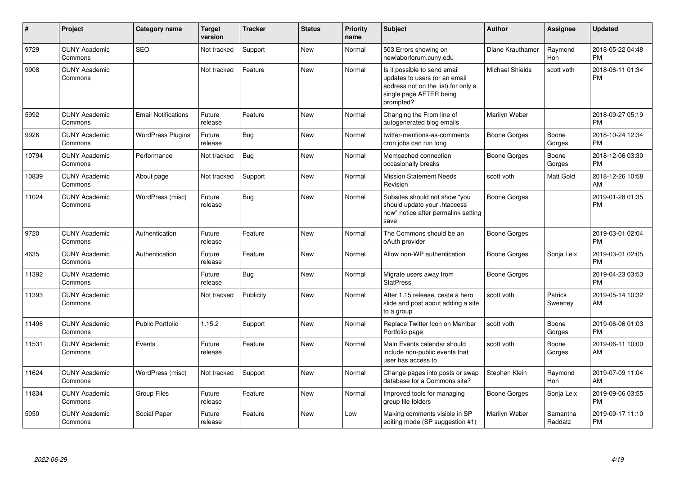| #     | Project                         | Category name              | <b>Target</b><br>version | <b>Tracker</b> | <b>Status</b> | <b>Priority</b><br>name | <b>Subject</b>                                                                                                                               | <b>Author</b>          | <b>Assignee</b>       | <b>Updated</b>                |
|-------|---------------------------------|----------------------------|--------------------------|----------------|---------------|-------------------------|----------------------------------------------------------------------------------------------------------------------------------------------|------------------------|-----------------------|-------------------------------|
| 9729  | <b>CUNY Academic</b><br>Commons | <b>SEO</b>                 | Not tracked              | Support        | <b>New</b>    | Normal                  | 503 Errors showing on<br>newlaborforum.cuny.edu                                                                                              | Diane Krauthamer       | Raymond<br>Hoh        | 2018-05-22 04:48<br><b>PM</b> |
| 9908  | <b>CUNY Academic</b><br>Commons |                            | Not tracked              | Feature        | <b>New</b>    | Normal                  | Is it possible to send email<br>updates to users (or an email<br>address not on the list) for only a<br>single page AFTER being<br>prompted? | <b>Michael Shields</b> | scott voth            | 2018-06-11 01:34<br><b>PM</b> |
| 5992  | <b>CUNY Academic</b><br>Commons | <b>Email Notifications</b> | Future<br>release        | Feature        | <b>New</b>    | Normal                  | Changing the From line of<br>autogenerated blog emails                                                                                       | Marilyn Weber          |                       | 2018-09-27 05:19<br><b>PM</b> |
| 9926  | <b>CUNY Academic</b><br>Commons | <b>WordPress Plugins</b>   | Future<br>release        | <b>Bug</b>     | <b>New</b>    | Normal                  | twitter-mentions-as-comments<br>cron jobs can run long                                                                                       | Boone Gorges           | Boone<br>Gorges       | 2018-10-24 12:34<br><b>PM</b> |
| 10794 | <b>CUNY Academic</b><br>Commons | Performance                | Not tracked              | <b>Bug</b>     | <b>New</b>    | Normal                  | Memcached connection<br>occasionally breaks                                                                                                  | Boone Gorges           | Boone<br>Gorges       | 2018-12-06 03:30<br><b>PM</b> |
| 10839 | <b>CUNY Academic</b><br>Commons | About page                 | Not tracked              | Support        | <b>New</b>    | Normal                  | <b>Mission Statement Needs</b><br>Revision                                                                                                   | scott voth             | Matt Gold             | 2018-12-26 10:58<br>AM        |
| 11024 | <b>CUNY Academic</b><br>Commons | WordPress (misc)           | Future<br>release        | <b>Bug</b>     | <b>New</b>    | Normal                  | Subsites should not show "you<br>should update your .htaccess<br>now" notice after permalink setting<br>save                                 | Boone Gorges           |                       | 2019-01-28 01:35<br><b>PM</b> |
| 9720  | <b>CUNY Academic</b><br>Commons | Authentication             | Future<br>release        | Feature        | <b>New</b>    | Normal                  | The Commons should be an<br>oAuth provider                                                                                                   | Boone Gorges           |                       | 2019-03-01 02:04<br><b>PM</b> |
| 4635  | <b>CUNY Academic</b><br>Commons | Authentication             | Future<br>release        | Feature        | New           | Normal                  | Allow non-WP authentication                                                                                                                  | Boone Gorges           | Sonja Leix            | 2019-03-01 02:05<br><b>PM</b> |
| 11392 | <b>CUNY Academic</b><br>Commons |                            | Future<br>release        | <b>Bug</b>     | New           | Normal                  | Migrate users away from<br><b>StatPress</b>                                                                                                  | Boone Gorges           |                       | 2019-04-23 03:53<br><b>PM</b> |
| 11393 | <b>CUNY Academic</b><br>Commons |                            | Not tracked              | Publicity      | <b>New</b>    | Normal                  | After 1.15 release, ceate a hero<br>slide and post about adding a site<br>to a group                                                         | scott voth             | Patrick<br>Sweeney    | 2019-05-14 10:32<br>AM        |
| 11496 | <b>CUNY Academic</b><br>Commons | <b>Public Portfolio</b>    | 1.15.2                   | Support        | <b>New</b>    | Normal                  | Replace Twitter Icon on Member<br>Portfolio page                                                                                             | scott voth             | Boone<br>Gorges       | 2019-06-06 01:03<br><b>PM</b> |
| 11531 | <b>CUNY Academic</b><br>Commons | Events                     | Future<br>release        | Feature        | <b>New</b>    | Normal                  | Main Events calendar should<br>include non-public events that<br>user has access to                                                          | scott voth             | Boone<br>Gorges       | 2019-06-11 10:00<br>AM        |
| 11624 | <b>CUNY Academic</b><br>Commons | WordPress (misc)           | Not tracked              | Support        | <b>New</b>    | Normal                  | Change pages into posts or swap<br>database for a Commons site?                                                                              | Stephen Klein          | Raymond<br><b>Hoh</b> | 2019-07-09 11:04<br>AM        |
| 11834 | <b>CUNY Academic</b><br>Commons | <b>Group Files</b>         | Future<br>release        | Feature        | <b>New</b>    | Normal                  | Improved tools for managing<br>group file folders                                                                                            | Boone Gorges           | Sonja Leix            | 2019-09-06 03:55<br><b>PM</b> |
| 5050  | <b>CUNY Academic</b><br>Commons | Social Paper               | Future<br>release        | Feature        | <b>New</b>    | Low                     | Making comments visible in SP<br>editing mode (SP suggestion #1)                                                                             | Marilyn Weber          | Samantha<br>Raddatz   | 2019-09-17 11:10<br><b>PM</b> |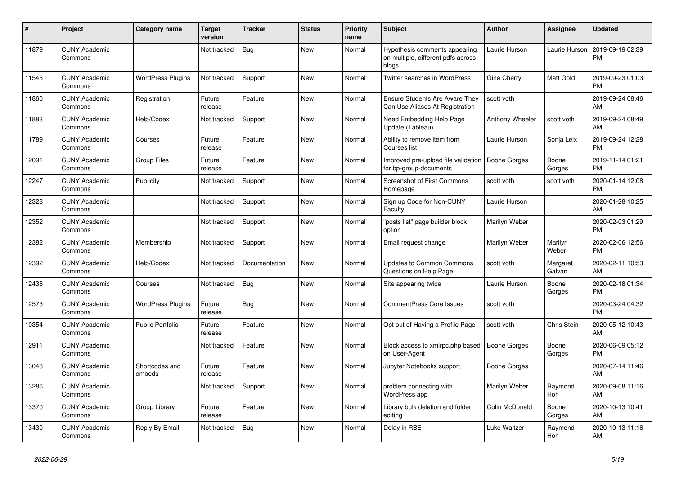| $\vert$ # | <b>Project</b>                  | Category name            | <b>Target</b><br>version | <b>Tracker</b> | <b>Status</b> | <b>Priority</b><br>name | <b>Subject</b>                                                               | <b>Author</b>       | Assignee           | <b>Updated</b>                |
|-----------|---------------------------------|--------------------------|--------------------------|----------------|---------------|-------------------------|------------------------------------------------------------------------------|---------------------|--------------------|-------------------------------|
| 11879     | <b>CUNY Academic</b><br>Commons |                          | Not tracked              | Bug            | <b>New</b>    | Normal                  | Hypothesis comments appearing<br>on multiple, different pdfs across<br>blogs | Laurie Hurson       | Laurie Hurson      | 2019-09-19 02:39<br><b>PM</b> |
| 11545     | <b>CUNY Academic</b><br>Commons | <b>WordPress Plugins</b> | Not tracked              | Support        | <b>New</b>    | Normal                  | <b>Twitter searches in WordPress</b>                                         | Gina Cherry         | Matt Gold          | 2019-09-23 01:03<br><b>PM</b> |
| 11860     | <b>CUNY Academic</b><br>Commons | Registration             | Future<br>release        | Feature        | <b>New</b>    | Normal                  | <b>Ensure Students Are Aware They</b><br>Can Use Aliases At Registration     | scott voth          |                    | 2019-09-24 08:46<br>AM        |
| 11883     | <b>CUNY Academic</b><br>Commons | Help/Codex               | Not tracked              | Support        | <b>New</b>    | Normal                  | Need Embedding Help Page<br>Update (Tableau)                                 | Anthony Wheeler     | scott voth         | 2019-09-24 08:49<br>AM        |
| 11789     | <b>CUNY Academic</b><br>Commons | Courses                  | Future<br>release        | Feature        | New           | Normal                  | Ability to remove item from<br>Courses list                                  | Laurie Hurson       | Sonja Leix         | 2019-09-24 12:28<br><b>PM</b> |
| 12091     | <b>CUNY Academic</b><br>Commons | <b>Group Files</b>       | Future<br>release        | Feature        | <b>New</b>    | Normal                  | Improved pre-upload file validation<br>for bp-group-documents                | Boone Gorges        | Boone<br>Gorges    | 2019-11-14 01:21<br><b>PM</b> |
| 12247     | <b>CUNY Academic</b><br>Commons | Publicity                | Not tracked              | Support        | <b>New</b>    | Normal                  | Screenshot of First Commons<br>Homepage                                      | scott voth          | scott voth         | 2020-01-14 12:08<br><b>PM</b> |
| 12328     | <b>CUNY Academic</b><br>Commons |                          | Not tracked              | Support        | New           | Normal                  | Sign up Code for Non-CUNY<br>Faculty                                         | Laurie Hurson       |                    | 2020-01-28 10:25<br>AM        |
| 12352     | <b>CUNY Academic</b><br>Commons |                          | Not tracked              | Support        | <b>New</b>    | Normal                  | "posts list" page builder block<br>option                                    | Marilyn Weber       |                    | 2020-02-03 01:29<br><b>PM</b> |
| 12382     | <b>CUNY Academic</b><br>Commons | Membership               | Not tracked              | Support        | <b>New</b>    | Normal                  | Email request change                                                         | Marilyn Weber       | Marilyn<br>Weber   | 2020-02-06 12:56<br><b>PM</b> |
| 12392     | <b>CUNY Academic</b><br>Commons | Help/Codex               | Not tracked              | Documentation  | New           | Normal                  | <b>Updates to Common Commons</b><br>Questions on Help Page                   | scott voth          | Margaret<br>Galvan | 2020-02-11 10:53<br>AM        |
| 12438     | <b>CUNY Academic</b><br>Commons | Courses                  | Not tracked              | Bug            | <b>New</b>    | Normal                  | Site appearing twice                                                         | Laurie Hurson       | Boone<br>Gorges    | 2020-02-18 01:34<br><b>PM</b> |
| 12573     | <b>CUNY Academic</b><br>Commons | <b>WordPress Plugins</b> | Future<br>release        | <b>Bug</b>     | <b>New</b>    | Normal                  | <b>CommentPress Core Issues</b>                                              | scott voth          |                    | 2020-03-24 04:32<br><b>PM</b> |
| 10354     | <b>CUNY Academic</b><br>Commons | <b>Public Portfolio</b>  | Future<br>release        | Feature        | <b>New</b>    | Normal                  | Opt out of Having a Profile Page                                             | scott voth          | Chris Stein        | 2020-05-12 10:43<br>AM        |
| 12911     | <b>CUNY Academic</b><br>Commons |                          | Not tracked              | Feature        | <b>New</b>    | Normal                  | Block access to xmlrpc.php based<br>on User-Agent                            | <b>Boone Gorges</b> | Boone<br>Gorges    | 2020-06-09 05:12<br><b>PM</b> |
| 13048     | <b>CUNY Academic</b><br>Commons | Shortcodes and<br>embeds | Future<br>release        | Feature        | <b>New</b>    | Normal                  | Jupyter Notebooks support                                                    | <b>Boone Gorges</b> |                    | 2020-07-14 11:46<br>AM        |
| 13286     | <b>CUNY Academic</b><br>Commons |                          | Not tracked              | Support        | <b>New</b>    | Normal                  | problem connecting with<br>WordPress app                                     | Marilyn Weber       | Raymond<br>Hoh     | 2020-09-08 11:16<br>AM        |
| 13370     | <b>CUNY Academic</b><br>Commons | Group Library            | Future<br>release        | Feature        | New           | Normal                  | Library bulk deletion and folder<br>editing                                  | Colin McDonald      | Boone<br>Gorges    | 2020-10-13 10:41<br>AM        |
| 13430     | <b>CUNY Academic</b><br>Commons | Reply By Email           | Not tracked              | Bug            | <b>New</b>    | Normal                  | Delay in RBE                                                                 | Luke Waltzer        | Raymond<br>Hoh     | 2020-10-13 11:16<br>AM        |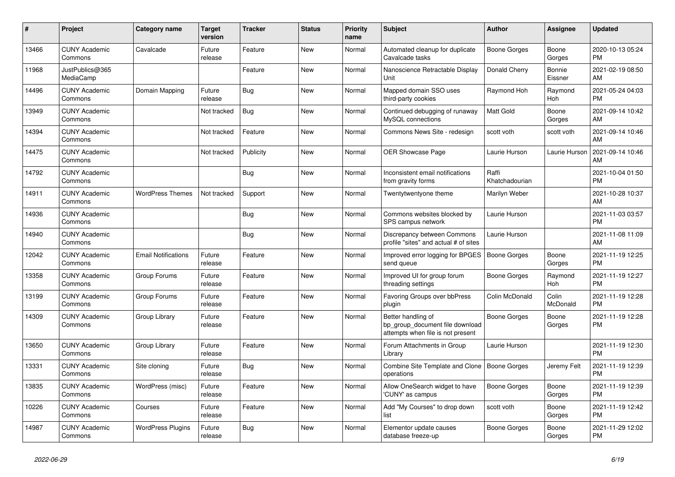| #     | <b>Project</b>                  | Category name              | <b>Target</b><br>version | <b>Tracker</b> | <b>Status</b> | <b>Priority</b><br>name | <b>Subject</b>                                                                             | <b>Author</b>           | Assignee          | <b>Updated</b>                |
|-------|---------------------------------|----------------------------|--------------------------|----------------|---------------|-------------------------|--------------------------------------------------------------------------------------------|-------------------------|-------------------|-------------------------------|
| 13466 | <b>CUNY Academic</b><br>Commons | Cavalcade                  | Future<br>release        | Feature        | New           | Normal                  | Automated cleanup for duplicate<br>Cavalcade tasks                                         | Boone Gorges            | Boone<br>Gorges   | 2020-10-13 05:24<br><b>PM</b> |
| 11968 | JustPublics@365<br>MediaCamp    |                            |                          | Feature        | New           | Normal                  | Nanoscience Retractable Display<br>Unit                                                    | Donald Cherry           | Bonnie<br>Eissner | 2021-02-19 08:50<br>AM        |
| 14496 | <b>CUNY Academic</b><br>Commons | Domain Mapping             | Future<br>release        | Bug            | <b>New</b>    | Normal                  | Mapped domain SSO uses<br>third-party cookies                                              | Raymond Hoh             | Raymond<br>Hoh    | 2021-05-24 04:03<br><b>PM</b> |
| 13949 | <b>CUNY Academic</b><br>Commons |                            | Not tracked              | Bug            | <b>New</b>    | Normal                  | Continued debugging of runaway<br>MySQL connections                                        | <b>Matt Gold</b>        | Boone<br>Gorges   | 2021-09-14 10:42<br>AM        |
| 14394 | <b>CUNY Academic</b><br>Commons |                            | Not tracked              | Feature        | <b>New</b>    | Normal                  | Commons News Site - redesign                                                               | scott voth              | scott voth        | 2021-09-14 10:46<br>AM        |
| 14475 | <b>CUNY Academic</b><br>Commons |                            | Not tracked              | Publicity      | <b>New</b>    | Normal                  | <b>OER Showcase Page</b>                                                                   | Laurie Hurson           | Laurie Hurson     | 2021-09-14 10:46<br>AM        |
| 14792 | <b>CUNY Academic</b><br>Commons |                            |                          | <b>Bug</b>     | <b>New</b>    | Normal                  | Inconsistent email notifications<br>from gravity forms                                     | Raffi<br>Khatchadourian |                   | 2021-10-04 01:50<br><b>PM</b> |
| 14911 | <b>CUNY Academic</b><br>Commons | <b>WordPress Themes</b>    | Not tracked              | Support        | <b>New</b>    | Normal                  | Twentytwentyone theme                                                                      | Marilyn Weber           |                   | 2021-10-28 10:37<br>AM        |
| 14936 | <b>CUNY Academic</b><br>Commons |                            |                          | Bug            | New           | Normal                  | Commons websites blocked by<br>SPS campus network                                          | Laurie Hurson           |                   | 2021-11-03 03:57<br><b>PM</b> |
| 14940 | <b>CUNY Academic</b><br>Commons |                            |                          | Bug            | New           | Normal                  | Discrepancy between Commons<br>profile "sites" and actual # of sites                       | Laurie Hurson           |                   | 2021-11-08 11:09<br>AM        |
| 12042 | <b>CUNY Academic</b><br>Commons | <b>Email Notifications</b> | Future<br>release        | Feature        | <b>New</b>    | Normal                  | Improved error logging for BPGES<br>send queue                                             | <b>Boone Gorges</b>     | Boone<br>Gorges   | 2021-11-19 12:25<br><b>PM</b> |
| 13358 | <b>CUNY Academic</b><br>Commons | Group Forums               | Future<br>release        | Feature        | <b>New</b>    | Normal                  | Improved UI for group forum<br>threading settings                                          | Boone Gorges            | Raymond<br>Hoh    | 2021-11-19 12:27<br><b>PM</b> |
| 13199 | <b>CUNY Academic</b><br>Commons | Group Forums               | Future<br>release        | Feature        | New           | Normal                  | Favoring Groups over bbPress<br>plugin                                                     | Colin McDonald          | Colin<br>McDonald | 2021-11-19 12:28<br><b>PM</b> |
| 14309 | <b>CUNY Academic</b><br>Commons | Group Library              | Future<br>release        | Feature        | <b>New</b>    | Normal                  | Better handling of<br>bp_group_document file download<br>attempts when file is not present | Boone Gorges            | Boone<br>Gorges   | 2021-11-19 12:28<br><b>PM</b> |
| 13650 | <b>CUNY Academic</b><br>Commons | Group Library              | Future<br>release        | Feature        | <b>New</b>    | Normal                  | Forum Attachments in Group<br>Library                                                      | Laurie Hurson           |                   | 2021-11-19 12:30<br><b>PM</b> |
| 13331 | <b>CUNY Academic</b><br>Commons | Site cloning               | Future<br>release        | Bug            | New           | Normal                  | Combine Site Template and Clone<br>operations                                              | Boone Gorges            | Jeremy Felt       | 2021-11-19 12:39<br><b>PM</b> |
| 13835 | <b>CUNY Academic</b><br>Commons | WordPress (misc)           | Future<br>release        | Feature        | <b>New</b>    | Normal                  | Allow OneSearch widget to have<br>'CUNY' as campus                                         | Boone Gorges            | Boone<br>Gorges   | 2021-11-19 12:39<br><b>PM</b> |
| 10226 | <b>CUNY Academic</b><br>Commons | Courses                    | Future<br>release        | Feature        | New           | Normal                  | Add "My Courses" to drop down<br>list                                                      | scott voth              | Boone<br>Gorges   | 2021-11-19 12:42<br><b>PM</b> |
| 14987 | <b>CUNY Academic</b><br>Commons | <b>WordPress Plugins</b>   | Future<br>release        | Bug            | <b>New</b>    | Normal                  | Elementor update causes<br>database freeze-up                                              | Boone Gorges            | Boone<br>Gorges   | 2021-11-29 12:02<br><b>PM</b> |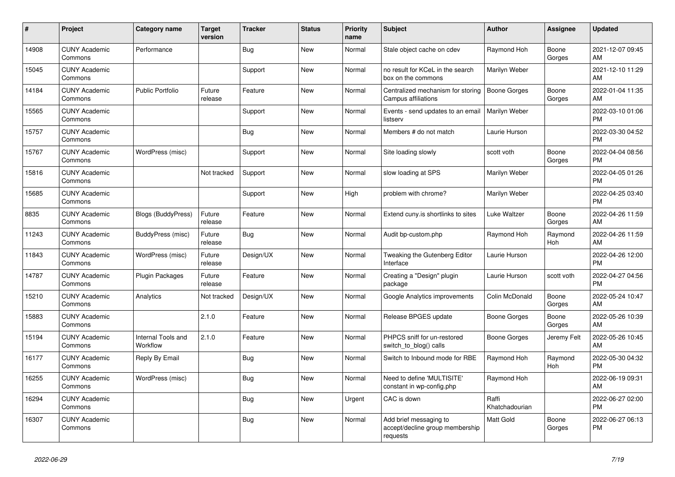| #     | Project                         | <b>Category name</b>           | <b>Target</b><br>version | <b>Tracker</b> | <b>Status</b> | <b>Priority</b><br>name | <b>Subject</b>                                                        | <b>Author</b>           | <b>Assignee</b> | <b>Updated</b>                |
|-------|---------------------------------|--------------------------------|--------------------------|----------------|---------------|-------------------------|-----------------------------------------------------------------------|-------------------------|-----------------|-------------------------------|
| 14908 | <b>CUNY Academic</b><br>Commons | Performance                    |                          | Bug            | New           | Normal                  | Stale object cache on cdev                                            | Raymond Hoh             | Boone<br>Gorges | 2021-12-07 09:45<br>AM.       |
| 15045 | <b>CUNY Academic</b><br>Commons |                                |                          | Support        | <b>New</b>    | Normal                  | no result for KCeL in the search<br>box on the commons                | Marilyn Weber           |                 | 2021-12-10 11:29<br>AM        |
| 14184 | <b>CUNY Academic</b><br>Commons | <b>Public Portfolio</b>        | Future<br>release        | Feature        | New           | Normal                  | Centralized mechanism for storing<br>Campus affiliations              | Boone Gorges            | Boone<br>Gorges | 2022-01-04 11:35<br><b>AM</b> |
| 15565 | <b>CUNY Academic</b><br>Commons |                                |                          | Support        | <b>New</b>    | Normal                  | Events - send updates to an email<br>listserv                         | Marilyn Weber           |                 | 2022-03-10 01:06<br><b>PM</b> |
| 15757 | <b>CUNY Academic</b><br>Commons |                                |                          | Bug            | <b>New</b>    | Normal                  | Members # do not match                                                | Laurie Hurson           |                 | 2022-03-30 04:52<br><b>PM</b> |
| 15767 | <b>CUNY Academic</b><br>Commons | WordPress (misc)               |                          | Support        | New           | Normal                  | Site loading slowly                                                   | scott voth              | Boone<br>Gorges | 2022-04-04 08:56<br><b>PM</b> |
| 15816 | <b>CUNY Academic</b><br>Commons |                                | Not tracked              | Support        | <b>New</b>    | Normal                  | slow loading at SPS                                                   | Marilyn Weber           |                 | 2022-04-05 01:26<br><b>PM</b> |
| 15685 | <b>CUNY Academic</b><br>Commons |                                |                          | Support        | New           | High                    | problem with chrome?                                                  | Marilyn Weber           |                 | 2022-04-25 03:40<br><b>PM</b> |
| 8835  | <b>CUNY Academic</b><br>Commons | Blogs (BuddyPress)             | Future<br>release        | Feature        | <b>New</b>    | Normal                  | Extend cuny.is shortlinks to sites                                    | Luke Waltzer            | Boone<br>Gorges | 2022-04-26 11:59<br>AM        |
| 11243 | <b>CUNY Academic</b><br>Commons | BuddyPress (misc)              | Future<br>release        | Bug            | <b>New</b>    | Normal                  | Audit bp-custom.php                                                   | Raymond Hoh             | Raymond<br>Hoh  | 2022-04-26 11:59<br>AM        |
| 11843 | <b>CUNY Academic</b><br>Commons | WordPress (misc)               | Future<br>release        | Design/UX      | New           | Normal                  | Tweaking the Gutenberg Editor<br>Interface                            | Laurie Hurson           |                 | 2022-04-26 12:00<br><b>PM</b> |
| 14787 | <b>CUNY Academic</b><br>Commons | <b>Plugin Packages</b>         | Future<br>release        | Feature        | New           | Normal                  | Creating a "Design" plugin<br>package                                 | Laurie Hurson           | scott voth      | 2022-04-27 04:56<br><b>PM</b> |
| 15210 | <b>CUNY Academic</b><br>Commons | Analytics                      | Not tracked              | Design/UX      | <b>New</b>    | Normal                  | Google Analytics improvements                                         | Colin McDonald          | Boone<br>Gorges | 2022-05-24 10:47<br><b>AM</b> |
| 15883 | <b>CUNY Academic</b><br>Commons |                                | 2.1.0                    | Feature        | <b>New</b>    | Normal                  | Release BPGES update                                                  | Boone Gorges            | Boone<br>Gorges | 2022-05-26 10:39<br>AM        |
| 15194 | <b>CUNY Academic</b><br>Commons | Internal Tools and<br>Workflow | 2.1.0                    | Feature        | <b>New</b>    | Normal                  | PHPCS sniff for un-restored<br>switch_to_blog() calls                 | Boone Gorges            | Jeremy Felt     | 2022-05-26 10:45<br>AM        |
| 16177 | <b>CUNY Academic</b><br>Commons | Reply By Email                 |                          | Bug            | <b>New</b>    | Normal                  | Switch to Inbound mode for RBE                                        | Raymond Hoh             | Raymond<br>Hoh  | 2022-05-30 04:32<br><b>PM</b> |
| 16255 | <b>CUNY Academic</b><br>Commons | WordPress (misc)               |                          | Bug            | <b>New</b>    | Normal                  | Need to define 'MULTISITE'<br>constant in wp-config.php               | Raymond Hoh             |                 | 2022-06-19 09:31<br>AM        |
| 16294 | <b>CUNY Academic</b><br>Commons |                                |                          | <b>Bug</b>     | <b>New</b>    | Urgent                  | CAC is down                                                           | Raffi<br>Khatchadourian |                 | 2022-06-27 02:00<br><b>PM</b> |
| 16307 | <b>CUNY Academic</b><br>Commons |                                |                          | Bug            | New           | Normal                  | Add brief messaging to<br>accept/decline group membership<br>requests | Matt Gold               | Boone<br>Gorges | 2022-06-27 06:13<br><b>PM</b> |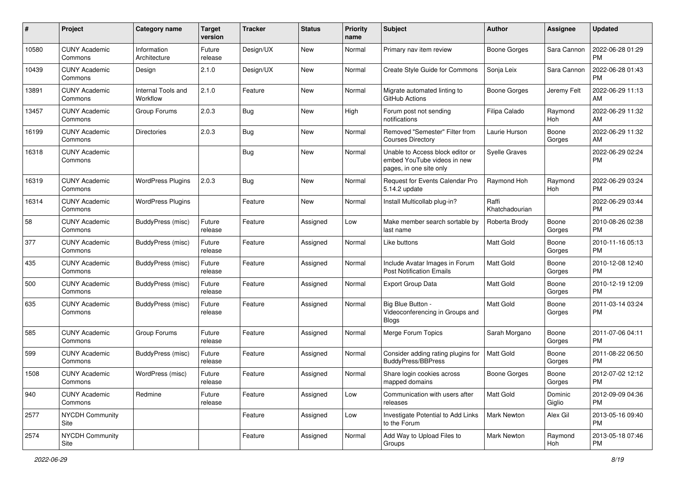| #     | Project                         | <b>Category name</b>           | <b>Target</b><br>version | <b>Tracker</b> | <b>Status</b> | Priority<br>name | <b>Subject</b>                                                                             | Author                  | <b>Assignee</b>   | <b>Updated</b>                |
|-------|---------------------------------|--------------------------------|--------------------------|----------------|---------------|------------------|--------------------------------------------------------------------------------------------|-------------------------|-------------------|-------------------------------|
| 10580 | <b>CUNY Academic</b><br>Commons | Information<br>Architecture    | Future<br>release        | Design/UX      | New           | Normal           | Primary nav item review                                                                    | Boone Gorges            | Sara Cannon       | 2022-06-28 01:29<br><b>PM</b> |
| 10439 | <b>CUNY Academic</b><br>Commons | Design                         | 2.1.0                    | Design/UX      | New           | Normal           | Create Style Guide for Commons                                                             | Sonja Leix              | Sara Cannon       | 2022-06-28 01:43<br><b>PM</b> |
| 13891 | <b>CUNY Academic</b><br>Commons | Internal Tools and<br>Workflow | 2.1.0                    | Feature        | New           | Normal           | Migrate automated linting to<br>GitHub Actions                                             | Boone Gorges            | Jeremy Felt       | 2022-06-29 11:13<br>AM        |
| 13457 | <b>CUNY Academic</b><br>Commons | Group Forums                   | 2.0.3                    | Bug            | New           | High             | Forum post not sending<br>notifications                                                    | Filipa Calado           | Raymond<br>Hoh    | 2022-06-29 11:32<br>AM        |
| 16199 | <b>CUNY Academic</b><br>Commons | Directories                    | 2.0.3                    | Bug            | New           | Normal           | Removed "Semester" Filter from<br><b>Courses Directory</b>                                 | Laurie Hurson           | Boone<br>Gorges   | 2022-06-29 11:32<br>AM        |
| 16318 | <b>CUNY Academic</b><br>Commons |                                |                          | Bug            | New           | Normal           | Unable to Access block editor or<br>embed YouTube videos in new<br>pages, in one site only | <b>Syelle Graves</b>    |                   | 2022-06-29 02:24<br>PM        |
| 16319 | <b>CUNY Academic</b><br>Commons | <b>WordPress Plugins</b>       | 2.0.3                    | Bug            | New           | Normal           | Request for Events Calendar Pro<br>5.14.2 update                                           | Raymond Hoh             | Raymond<br>Hoh    | 2022-06-29 03:24<br><b>PM</b> |
| 16314 | <b>CUNY Academic</b><br>Commons | <b>WordPress Plugins</b>       |                          | Feature        | New           | Normal           | Install Multicollab plug-in?                                                               | Raffi<br>Khatchadourian |                   | 2022-06-29 03:44<br><b>PM</b> |
| 58    | <b>CUNY Academic</b><br>Commons | BuddyPress (misc)              | Future<br>release        | Feature        | Assigned      | Low              | Make member search sortable by<br>last name                                                | Roberta Brody           | Boone<br>Gorges   | 2010-08-26 02:38<br>PM.       |
| 377   | <b>CUNY Academic</b><br>Commons | BuddyPress (misc)              | Future<br>release        | Feature        | Assigned      | Normal           | Like buttons                                                                               | <b>Matt Gold</b>        | Boone<br>Gorges   | 2010-11-16 05:13<br><b>PM</b> |
| 435   | <b>CUNY Academic</b><br>Commons | BuddyPress (misc)              | Future<br>release        | Feature        | Assigned      | Normal           | Include Avatar Images in Forum<br><b>Post Notification Emails</b>                          | Matt Gold               | Boone<br>Gorges   | 2010-12-08 12:40<br>PM.       |
| 500   | <b>CUNY Academic</b><br>Commons | BuddyPress (misc)              | Future<br>release        | Feature        | Assigned      | Normal           | <b>Export Group Data</b>                                                                   | <b>Matt Gold</b>        | Boone<br>Gorges   | 2010-12-19 12:09<br>PM.       |
| 635   | <b>CUNY Academic</b><br>Commons | <b>BuddyPress (misc)</b>       | Future<br>release        | Feature        | Assigned      | Normal           | Big Blue Button -<br>Videoconferencing in Groups and<br><b>Blogs</b>                       | Matt Gold               | Boone<br>Gorges   | 2011-03-14 03:24<br><b>PM</b> |
| 585   | <b>CUNY Academic</b><br>Commons | Group Forums                   | Future<br>release        | Feature        | Assigned      | Normal           | Merge Forum Topics                                                                         | Sarah Morgano           | Boone<br>Gorges   | 2011-07-06 04:11<br>PM.       |
| 599   | <b>CUNY Academic</b><br>Commons | <b>BuddyPress (misc)</b>       | Future<br>release        | Feature        | Assigned      | Normal           | Consider adding rating plugins for<br><b>BuddyPress/BBPress</b>                            | Matt Gold               | Boone<br>Gorges   | 2011-08-22 06:50<br>PM.       |
| 1508  | <b>CUNY Academic</b><br>Commons | WordPress (misc)               | Future<br>release        | Feature        | Assigned      | Normal           | Share login cookies across<br>mapped domains                                               | Boone Gorges            | Boone<br>Gorges   | 2012-07-02 12:12<br>PM        |
| 940   | <b>CUNY Academic</b><br>Commons | Redmine                        | Future<br>release        | Feature        | Assigned      | Low              | Communication with users after<br>releases                                                 | Matt Gold               | Dominic<br>Giglio | 2012-09-09 04:36<br>PM.       |
| 2577  | <b>NYCDH Community</b><br>Site  |                                |                          | Feature        | Assigned      | Low              | Investigate Potential to Add Links<br>to the Forum                                         | <b>Mark Newton</b>      | Alex Gil          | 2013-05-16 09:40<br><b>PM</b> |
| 2574  | NYCDH Community<br>Site         |                                |                          | Feature        | Assigned      | Normal           | Add Way to Upload Files to<br>Groups                                                       | Mark Newton             | Raymond<br>Hoh    | 2013-05-18 07:46<br><b>PM</b> |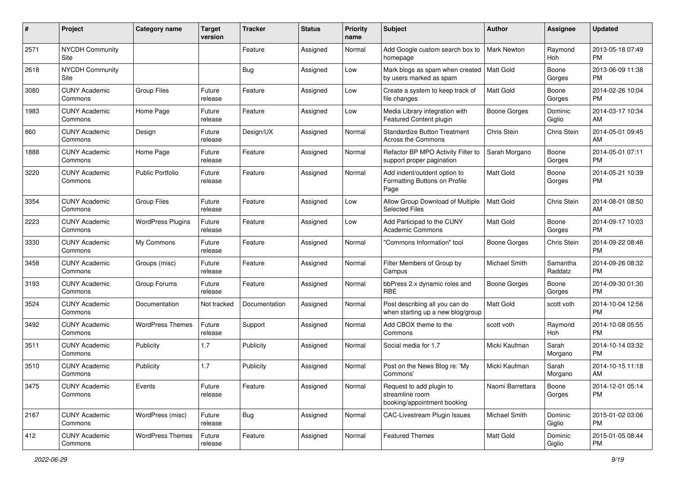| $\#$ | Project                         | Category name            | <b>Target</b><br>version | <b>Tracker</b> | <b>Status</b> | <b>Priority</b><br>name | <b>Subject</b>                                                             | Author              | <b>Assignee</b>     | <b>Updated</b>                |
|------|---------------------------------|--------------------------|--------------------------|----------------|---------------|-------------------------|----------------------------------------------------------------------------|---------------------|---------------------|-------------------------------|
| 2571 | <b>NYCDH Community</b><br>Site  |                          |                          | Feature        | Assigned      | Normal                  | Add Google custom search box to<br>homepage                                | <b>Mark Newton</b>  | Raymond<br>Hoh      | 2013-05-18 07:49<br><b>PM</b> |
| 2618 | <b>NYCDH Community</b><br>Site  |                          |                          | Bug            | Assigned      | Low                     | Mark blogs as spam when created   Matt Gold<br>by users marked as spam     |                     | Boone<br>Gorges     | 2013-06-09 11:38<br><b>PM</b> |
| 3080 | <b>CUNY Academic</b><br>Commons | <b>Group Files</b>       | Future<br>release        | Feature        | Assigned      | Low                     | Create a system to keep track of<br>file changes                           | Matt Gold           | Boone<br>Gorges     | 2014-02-26 10:04<br><b>PM</b> |
| 1983 | <b>CUNY Academic</b><br>Commons | Home Page                | Future<br>release        | Feature        | Assigned      | Low                     | Media Library integration with<br>Featured Content plugin                  | <b>Boone Gorges</b> | Dominic<br>Giglio   | 2014-03-17 10:34<br>AM        |
| 860  | <b>CUNY Academic</b><br>Commons | Design                   | Future<br>release        | Design/UX      | Assigned      | Normal                  | <b>Standardize Button Treatment</b><br><b>Across the Commons</b>           | Chris Stein         | Chris Stein         | 2014-05-01 09:45<br>AM        |
| 1888 | <b>CUNY Academic</b><br>Commons | Home Page                | Future<br>release        | Feature        | Assigned      | Normal                  | Refactor BP MPO Activity Filter to<br>support proper pagination            | Sarah Morgano       | Boone<br>Gorges     | 2014-05-01 07:11<br><b>PM</b> |
| 3220 | <b>CUNY Academic</b><br>Commons | <b>Public Portfolio</b>  | Future<br>release        | Feature        | Assigned      | Normal                  | Add indent/outdent option to<br>Formatting Buttons on Profile<br>Page      | <b>Matt Gold</b>    | Boone<br>Gorges     | 2014-05-21 10:39<br><b>PM</b> |
| 3354 | <b>CUNY Academic</b><br>Commons | <b>Group Files</b>       | Future<br>release        | Feature        | Assigned      | Low                     | Allow Group Download of Multiple<br><b>Selected Files</b>                  | <b>Matt Gold</b>    | Chris Stein         | 2014-08-01 08:50<br>AM        |
| 2223 | <b>CUNY Academic</b><br>Commons | <b>WordPress Plugins</b> | Future<br>release        | Feature        | Assigned      | Low                     | Add Participad to the CUNY<br>Academic Commons                             | <b>Matt Gold</b>    | Boone<br>Gorges     | 2014-09-17 10:03<br><b>PM</b> |
| 3330 | <b>CUNY Academic</b><br>Commons | My Commons               | Future<br>release        | Feature        | Assigned      | Normal                  | "Commons Information" tool                                                 | Boone Gorges        | Chris Stein         | 2014-09-22 08:46<br><b>PM</b> |
| 3458 | <b>CUNY Academic</b><br>Commons | Groups (misc)            | Future<br>release        | Feature        | Assigned      | Normal                  | Filter Members of Group by<br>Campus                                       | Michael Smith       | Samantha<br>Raddatz | 2014-09-26 08:32<br><b>PM</b> |
| 3193 | <b>CUNY Academic</b><br>Commons | Group Forums             | Future<br>release        | Feature        | Assigned      | Normal                  | bbPress 2.x dynamic roles and<br><b>RBE</b>                                | <b>Boone Gorges</b> | Boone<br>Gorges     | 2014-09-30 01:30<br><b>PM</b> |
| 3524 | <b>CUNY Academic</b><br>Commons | Documentation            | Not tracked              | Documentation  | Assigned      | Normal                  | Post describing all you can do<br>when starting up a new blog/group        | Matt Gold           | scott voth          | 2014-10-04 12:56<br><b>PM</b> |
| 3492 | <b>CUNY Academic</b><br>Commons | <b>WordPress Themes</b>  | Future<br>release        | Support        | Assigned      | Normal                  | Add CBOX theme to the<br>Commons                                           | scott voth          | Raymond<br>Hoh      | 2014-10-08 05:55<br><b>PM</b> |
| 3511 | <b>CUNY Academic</b><br>Commons | Publicity                | 1.7                      | Publicity      | Assigned      | Normal                  | Social media for 1.7                                                       | Micki Kaufman       | Sarah<br>Morgano    | 2014-10-14 03:32<br><b>PM</b> |
| 3510 | <b>CUNY Academic</b><br>Commons | Publicity                | 1.7                      | Publicity      | Assigned      | Normal                  | Post on the News Blog re: 'My<br>Commons'                                  | Micki Kaufman       | Sarah<br>Morgano    | 2014-10-15 11:18<br>AM        |
| 3475 | <b>CUNY Academic</b><br>Commons | Events                   | Future<br>release        | Feature        | Assigned      | Normal                  | Request to add plugin to<br>streamline room<br>booking/appointment booking | Naomi Barrettara    | Boone<br>Gorges     | 2014-12-01 05:14<br><b>PM</b> |
| 2167 | <b>CUNY Academic</b><br>Commons | WordPress (misc)         | Future<br>release        | <b>Bug</b>     | Assigned      | Normal                  | <b>CAC-Livestream Plugin Issues</b>                                        | Michael Smith       | Dominic<br>Giglio   | 2015-01-02 03:06<br><b>PM</b> |
| 412  | <b>CUNY Academic</b><br>Commons | <b>WordPress Themes</b>  | Future<br>release        | Feature        | Assigned      | Normal                  | <b>Featured Themes</b>                                                     | Matt Gold           | Dominic<br>Giglio   | 2015-01-05 08:44<br><b>PM</b> |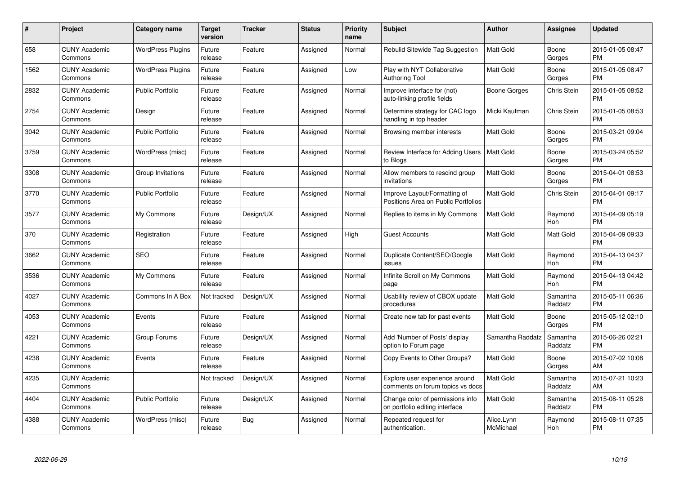| $\#$ | Project                         | <b>Category name</b>     | <b>Target</b><br>version | <b>Tracker</b> | <b>Status</b> | Priority<br>name | <b>Subject</b>                                                      | <b>Author</b>           | <b>Assignee</b>     | <b>Updated</b>                |
|------|---------------------------------|--------------------------|--------------------------|----------------|---------------|------------------|---------------------------------------------------------------------|-------------------------|---------------------|-------------------------------|
| 658  | <b>CUNY Academic</b><br>Commons | <b>WordPress Plugins</b> | Future<br>release        | Feature        | Assigned      | Normal           | Rebulid Sitewide Tag Suggestion                                     | <b>Matt Gold</b>        | Boone<br>Gorges     | 2015-01-05 08:47<br><b>PM</b> |
| 1562 | <b>CUNY Academic</b><br>Commons | <b>WordPress Plugins</b> | Future<br>release        | Feature        | Assigned      | Low              | Play with NYT Collaborative<br><b>Authoring Tool</b>                | <b>Matt Gold</b>        | Boone<br>Gorges     | 2015-01-05 08:47<br><b>PM</b> |
| 2832 | <b>CUNY Academic</b><br>Commons | <b>Public Portfolio</b>  | Future<br>release        | Feature        | Assigned      | Normal           | Improve interface for (not)<br>auto-linking profile fields          | Boone Gorges            | Chris Stein         | 2015-01-05 08:52<br><b>PM</b> |
| 2754 | <b>CUNY Academic</b><br>Commons | Design                   | Future<br>release        | Feature        | Assigned      | Normal           | Determine strategy for CAC logo<br>handling in top header           | Micki Kaufman           | Chris Stein         | 2015-01-05 08:53<br><b>PM</b> |
| 3042 | <b>CUNY Academic</b><br>Commons | <b>Public Portfolio</b>  | Future<br>release        | Feature        | Assigned      | Normal           | Browsing member interests                                           | Matt Gold               | Boone<br>Gorges     | 2015-03-21 09:04<br><b>PM</b> |
| 3759 | <b>CUNY Academic</b><br>Commons | WordPress (misc)         | Future<br>release        | Feature        | Assigned      | Normal           | Review Interface for Adding Users<br>to Blogs                       | <b>Matt Gold</b>        | Boone<br>Gorges     | 2015-03-24 05:52<br><b>PM</b> |
| 3308 | <b>CUNY Academic</b><br>Commons | Group Invitations        | Future<br>release        | Feature        | Assigned      | Normal           | Allow members to rescind group<br>invitations                       | Matt Gold               | Boone<br>Gorges     | 2015-04-01 08:53<br><b>PM</b> |
| 3770 | <b>CUNY Academic</b><br>Commons | Public Portfolio         | Future<br>release        | Feature        | Assigned      | Normal           | Improve Layout/Formatting of<br>Positions Area on Public Portfolios | Matt Gold               | Chris Stein         | 2015-04-01 09:17<br><b>PM</b> |
| 3577 | <b>CUNY Academic</b><br>Commons | My Commons               | Future<br>release        | Design/UX      | Assigned      | Normal           | Replies to items in My Commons                                      | <b>Matt Gold</b>        | Raymond<br>Hoh      | 2015-04-09 05:19<br><b>PM</b> |
| 370  | <b>CUNY Academic</b><br>Commons | Registration             | Future<br>release        | Feature        | Assigned      | High             | <b>Guest Accounts</b>                                               | <b>Matt Gold</b>        | Matt Gold           | 2015-04-09 09:33<br><b>PM</b> |
| 3662 | <b>CUNY Academic</b><br>Commons | <b>SEO</b>               | Future<br>release        | Feature        | Assigned      | Normal           | Duplicate Content/SEO/Google<br>issues                              | Matt Gold               | Raymond<br>Hoh      | 2015-04-13 04:37<br><b>PM</b> |
| 3536 | <b>CUNY Academic</b><br>Commons | My Commons               | Future<br>release        | Feature        | Assigned      | Normal           | Infinite Scroll on My Commons<br>page                               | Matt Gold               | Raymond<br>Hoh      | 2015-04-13 04:42<br><b>PM</b> |
| 4027 | <b>CUNY Academic</b><br>Commons | Commons In A Box         | Not tracked              | Design/UX      | Assigned      | Normal           | Usability review of CBOX update<br>procedures                       | <b>Matt Gold</b>        | Samantha<br>Raddatz | 2015-05-11 06:36<br><b>PM</b> |
| 4053 | <b>CUNY Academic</b><br>Commons | Events                   | Future<br>release        | Feature        | Assigned      | Normal           | Create new tab for past events                                      | Matt Gold               | Boone<br>Gorges     | 2015-05-12 02:10<br><b>PM</b> |
| 4221 | <b>CUNY Academic</b><br>Commons | Group Forums             | Future<br>release        | Design/UX      | Assigned      | Normal           | Add 'Number of Posts' display<br>option to Forum page               | Samantha Raddatz        | Samantha<br>Raddatz | 2015-06-26 02:21<br><b>PM</b> |
| 4238 | <b>CUNY Academic</b><br>Commons | Events                   | Future<br>release        | Feature        | Assigned      | Normal           | Copy Events to Other Groups?                                        | Matt Gold               | Boone<br>Gorges     | 2015-07-02 10:08<br>AM        |
| 4235 | <b>CUNY Academic</b><br>Commons |                          | Not tracked              | Design/UX      | Assigned      | Normal           | Explore user experience around<br>comments on forum topics vs docs  | <b>Matt Gold</b>        | Samantha<br>Raddatz | 2015-07-21 10:23<br>AM        |
| 4404 | <b>CUNY Academic</b><br>Commons | Public Portfolio         | Future<br>release        | Design/UX      | Assigned      | Normal           | Change color of permissions info<br>on portfolio editing interface  | Matt Gold               | Samantha<br>Raddatz | 2015-08-11 05:28<br><b>PM</b> |
| 4388 | CUNY Academic<br>Commons        | WordPress (misc)         | Future<br>release        | Bug            | Assigned      | Normal           | Repeated request for<br>authentication.                             | Alice.Lynn<br>McMichael | Raymond<br>Hoh      | 2015-08-11 07:35<br><b>PM</b> |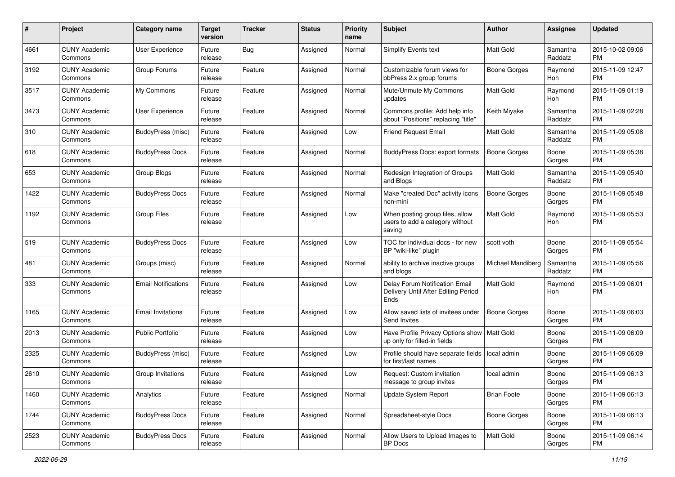| #    | Project                         | <b>Category name</b>       | <b>Target</b><br>version | <b>Tracker</b> | <b>Status</b> | Priority<br>name | <b>Subject</b>                                                                | <b>Author</b>       | <b>Assignee</b>     | <b>Updated</b>                |
|------|---------------------------------|----------------------------|--------------------------|----------------|---------------|------------------|-------------------------------------------------------------------------------|---------------------|---------------------|-------------------------------|
| 4661 | <b>CUNY Academic</b><br>Commons | User Experience            | Future<br>release        | Bug            | Assigned      | Normal           | <b>Simplify Events text</b>                                                   | <b>Matt Gold</b>    | Samantha<br>Raddatz | 2015-10-02 09:06<br>PM.       |
| 3192 | <b>CUNY Academic</b><br>Commons | Group Forums               | Future<br>release        | Feature        | Assigned      | Normal           | Customizable forum views for<br>bbPress 2.x group forums                      | Boone Gorges        | Raymond<br>Hoh      | 2015-11-09 12:47<br><b>PM</b> |
| 3517 | <b>CUNY Academic</b><br>Commons | My Commons                 | Future<br>release        | Feature        | Assigned      | Normal           | Mute/Unmute My Commons<br>updates                                             | Matt Gold           | Raymond<br>Hoh      | 2015-11-09 01:19<br><b>PM</b> |
| 3473 | <b>CUNY Academic</b><br>Commons | User Experience            | Future<br>release        | Feature        | Assigned      | Normal           | Commons profile: Add help info<br>about "Positions" replacing "title"         | Keith Miyake        | Samantha<br>Raddatz | 2015-11-09 02:28<br>PM.       |
| 310  | <b>CUNY Academic</b><br>Commons | BuddyPress (misc)          | Future<br>release        | Feature        | Assigned      | Low              | <b>Friend Request Email</b>                                                   | Matt Gold           | Samantha<br>Raddatz | 2015-11-09 05:08<br><b>PM</b> |
| 618  | <b>CUNY Academic</b><br>Commons | <b>BuddyPress Docs</b>     | Future<br>release        | Feature        | Assigned      | Normal           | BuddyPress Docs: export formats                                               | <b>Boone Gorges</b> | Boone<br>Gorges     | 2015-11-09 05:38<br>PM.       |
| 653  | <b>CUNY Academic</b><br>Commons | Group Blogs                | Future<br>release        | Feature        | Assigned      | Normal           | Redesign Integration of Groups<br>and Blogs                                   | Matt Gold           | Samantha<br>Raddatz | 2015-11-09 05:40<br><b>PM</b> |
| 1422 | <b>CUNY Academic</b><br>Commons | <b>BuddyPress Docs</b>     | Future<br>release        | Feature        | Assigned      | Normal           | Make "created Doc" activity icons<br>non-mini                                 | Boone Gorges        | Boone<br>Gorges     | 2015-11-09 05:48<br>PM.       |
| 1192 | <b>CUNY Academic</b><br>Commons | <b>Group Files</b>         | Future<br>release        | Feature        | Assigned      | Low              | When posting group files, allow<br>users to add a category without<br>saving  | Matt Gold           | Raymond<br>Hoh      | 2015-11-09 05:53<br>PM.       |
| 519  | <b>CUNY Academic</b><br>Commons | <b>BuddyPress Docs</b>     | Future<br>release        | Feature        | Assigned      | Low              | TOC for individual docs - for new<br>BP "wiki-like" plugin                    | scott voth          | Boone<br>Gorges     | 2015-11-09 05:54<br><b>PM</b> |
| 481  | <b>CUNY Academic</b><br>Commons | Groups (misc)              | Future<br>release        | Feature        | Assigned      | Normal           | ability to archive inactive groups<br>and blogs                               | Michael Mandiberg   | Samantha<br>Raddatz | 2015-11-09 05:56<br>PM.       |
| 333  | <b>CUNY Academic</b><br>Commons | <b>Email Notifications</b> | Future<br>release        | Feature        | Assigned      | Low              | Delay Forum Notification Email<br>Delivery Until After Editing Period<br>Ends | Matt Gold           | Raymond<br>Hoh      | 2015-11-09 06:01<br>PM.       |
| 1165 | <b>CUNY Academic</b><br>Commons | <b>Email Invitations</b>   | Future<br>release        | Feature        | Assigned      | Low              | Allow saved lists of invitees under<br>Send Invites                           | Boone Gorges        | Boone<br>Gorges     | 2015-11-09 06:03<br>PM        |
| 2013 | <b>CUNY Academic</b><br>Commons | Public Portfolio           | Future<br>release        | Feature        | Assigned      | Low              | Have Profile Privacy Options show   Matt Gold<br>up only for filled-in fields |                     | Boone<br>Gorges     | 2015-11-09 06:09<br>PM.       |
| 2325 | <b>CUNY Academic</b><br>Commons | BuddyPress (misc)          | Future<br>release        | Feature        | Assigned      | Low              | Profile should have separate fields   local admin<br>for first/last names     |                     | Boone<br>Gorges     | 2015-11-09 06:09<br>PM.       |
| 2610 | <b>CUNY Academic</b><br>Commons | Group Invitations          | Future<br>release        | Feature        | Assigned      | Low              | Request: Custom invitation<br>message to group invites                        | local admin         | Boone<br>Gorges     | 2015-11-09 06:13<br><b>PM</b> |
| 1460 | <b>CUNY Academic</b><br>Commons | Analytics                  | Future<br>release        | Feature        | Assigned      | Normal           | <b>Update System Report</b>                                                   | <b>Brian Foote</b>  | Boone<br>Gorges     | 2015-11-09 06:13<br>PM.       |
| 1744 | <b>CUNY Academic</b><br>Commons | <b>BuddyPress Docs</b>     | Future<br>release        | Feature        | Assigned      | Normal           | Spreadsheet-style Docs                                                        | Boone Gorges        | Boone<br>Gorges     | 2015-11-09 06:13<br><b>PM</b> |
| 2523 | <b>CUNY Academic</b><br>Commons | <b>BuddyPress Docs</b>     | Future<br>release        | Feature        | Assigned      | Normal           | Allow Users to Upload Images to<br>BP Docs                                    | Matt Gold           | Boone<br>Gorges     | 2015-11-09 06:14<br><b>PM</b> |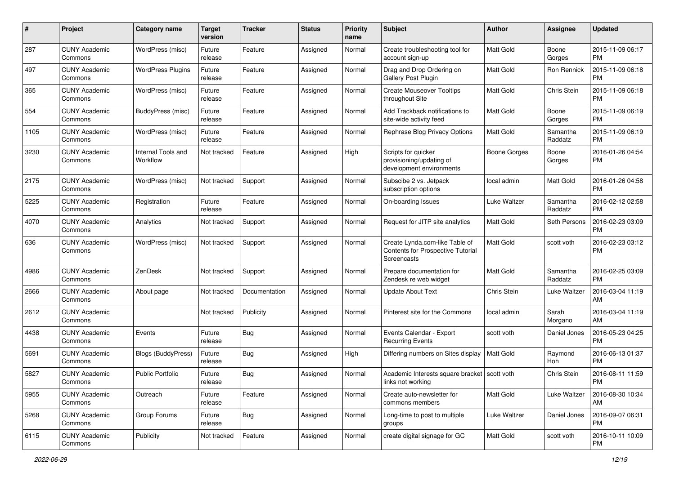| #    | Project                         | <b>Category name</b>           | <b>Target</b><br>version | <b>Tracker</b> | <b>Status</b> | <b>Priority</b><br>name | Subject                                                                            | Author           | Assignee            | <b>Updated</b>                |
|------|---------------------------------|--------------------------------|--------------------------|----------------|---------------|-------------------------|------------------------------------------------------------------------------------|------------------|---------------------|-------------------------------|
| 287  | <b>CUNY Academic</b><br>Commons | WordPress (misc)               | Future<br>release        | Feature        | Assigned      | Normal                  | Create troubleshooting tool for<br>account sign-up                                 | <b>Matt Gold</b> | Boone<br>Gorges     | 2015-11-09 06:17<br><b>PM</b> |
| 497  | <b>CUNY Academic</b><br>Commons | <b>WordPress Plugins</b>       | Future<br>release        | Feature        | Assigned      | Normal                  | Drag and Drop Ordering on<br>Gallery Post Plugin                                   | Matt Gold        | Ron Rennick         | 2015-11-09 06:18<br><b>PM</b> |
| 365  | CUNY Academic<br>Commons        | WordPress (misc)               | Future<br>release        | Feature        | Assigned      | Normal                  | <b>Create Mouseover Tooltips</b><br>throughout Site                                | Matt Gold        | Chris Stein         | 2015-11-09 06:18<br><b>PM</b> |
| 554  | <b>CUNY Academic</b><br>Commons | <b>BuddyPress</b> (misc)       | Future<br>release        | Feature        | Assigned      | Normal                  | Add Trackback notifications to<br>site-wide activity feed                          | <b>Matt Gold</b> | Boone<br>Gorges     | 2015-11-09 06:19<br><b>PM</b> |
| 1105 | <b>CUNY Academic</b><br>Commons | WordPress (misc)               | Future<br>release        | Feature        | Assigned      | Normal                  | Rephrase Blog Privacy Options                                                      | <b>Matt Gold</b> | Samantha<br>Raddatz | 2015-11-09 06:19<br><b>PM</b> |
| 3230 | <b>CUNY Academic</b><br>Commons | Internal Tools and<br>Workflow | Not tracked              | Feature        | Assigned      | High                    | Scripts for quicker<br>provisioning/updating of<br>development environments        | Boone Gorges     | Boone<br>Gorges     | 2016-01-26 04:54<br><b>PM</b> |
| 2175 | <b>CUNY Academic</b><br>Commons | WordPress (misc)               | Not tracked              | Support        | Assigned      | Normal                  | Subscibe 2 vs. Jetpack<br>subscription options                                     | local admin      | Matt Gold           | 2016-01-26 04:58<br><b>PM</b> |
| 5225 | <b>CUNY Academic</b><br>Commons | Registration                   | Future<br>release        | Feature        | Assigned      | Normal                  | On-boarding Issues                                                                 | Luke Waltzer     | Samantha<br>Raddatz | 2016-02-12 02:58<br><b>PM</b> |
| 4070 | <b>CUNY Academic</b><br>Commons | Analytics                      | Not tracked              | Support        | Assigned      | Normal                  | Request for JITP site analytics                                                    | <b>Matt Gold</b> | Seth Persons        | 2016-02-23 03:09<br><b>PM</b> |
| 636  | CUNY Academic<br>Commons        | WordPress (misc)               | Not tracked              | Support        | Assigned      | Normal                  | Create Lynda.com-like Table of<br>Contents for Prospective Tutorial<br>Screencasts | Matt Gold        | scott voth          | 2016-02-23 03:12<br><b>PM</b> |
| 4986 | <b>CUNY Academic</b><br>Commons | <b>ZenDesk</b>                 | Not tracked              | Support        | Assigned      | Normal                  | Prepare documentation for<br>Zendesk re web widget                                 | <b>Matt Gold</b> | Samantha<br>Raddatz | 2016-02-25 03:09<br><b>PM</b> |
| 2666 | <b>CUNY Academic</b><br>Commons | About page                     | Not tracked              | Documentation  | Assigned      | Normal                  | <b>Update About Text</b>                                                           | Chris Stein      | Luke Waltzer        | 2016-03-04 11:19<br>AM        |
| 2612 | <b>CUNY Academic</b><br>Commons |                                | Not tracked              | Publicity      | Assigned      | Normal                  | Pinterest site for the Commons                                                     | local admin      | Sarah<br>Morgano    | 2016-03-04 11:19<br>AM        |
| 4438 | <b>CUNY Academic</b><br>Commons | Events                         | Future<br>release        | <b>Bug</b>     | Assigned      | Normal                  | Events Calendar - Export<br><b>Recurring Events</b>                                | scott voth       | Daniel Jones        | 2016-05-23 04:25<br><b>PM</b> |
| 5691 | <b>CUNY Academic</b><br>Commons | <b>Blogs (BuddyPress)</b>      | Future<br>release        | Bug            | Assigned      | High                    | Differing numbers on Sites display                                                 | Matt Gold        | Raymond<br>Hoh      | 2016-06-13 01:37<br><b>PM</b> |
| 5827 | <b>CUNY Academic</b><br>Commons | <b>Public Portfolio</b>        | Future<br>release        | Bug            | Assigned      | Normal                  | Academic Interests square bracket   scott voth<br>links not working                |                  | Chris Stein         | 2016-08-11 11:59<br>PM        |
| 5955 | <b>CUNY Academic</b><br>Commons | Outreach                       | Future<br>release        | Feature        | Assigned      | Normal                  | Create auto-newsletter for<br>commons members                                      | Matt Gold        | Luke Waltzer        | 2016-08-30 10:34<br>AM        |
| 5268 | <b>CUNY Academic</b><br>Commons | Group Forums                   | Future<br>release        | Bug            | Assigned      | Normal                  | Long-time to post to multiple<br>groups                                            | Luke Waltzer     | Daniel Jones        | 2016-09-07 06:31<br><b>PM</b> |
| 6115 | <b>CUNY Academic</b><br>Commons | Publicity                      | Not tracked              | Feature        | Assigned      | Normal                  | create digital signage for GC                                                      | Matt Gold        | scott voth          | 2016-10-11 10:09<br><b>PM</b> |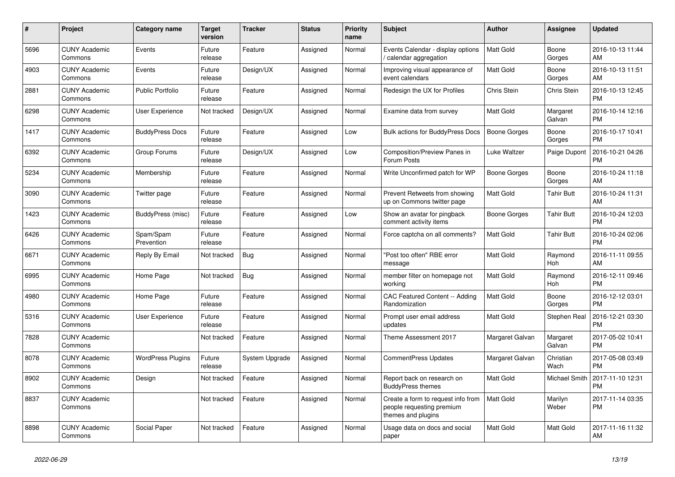| $\#$ | <b>Project</b>                  | Category name            | <b>Target</b><br>version | <b>Tracker</b> | <b>Status</b> | <b>Priority</b><br>name | <b>Subject</b>                                                                        | <b>Author</b>       | Assignee           | <b>Updated</b>                |
|------|---------------------------------|--------------------------|--------------------------|----------------|---------------|-------------------------|---------------------------------------------------------------------------------------|---------------------|--------------------|-------------------------------|
| 5696 | <b>CUNY Academic</b><br>Commons | Events                   | Future<br>release        | Feature        | Assigned      | Normal                  | Events Calendar - display options<br>/ calendar aggregation                           | <b>Matt Gold</b>    | Boone<br>Gorges    | 2016-10-13 11:44<br>AM        |
| 4903 | <b>CUNY Academic</b><br>Commons | Events                   | Future<br>release        | Design/UX      | Assigned      | Normal                  | Improving visual appearance of<br>event calendars                                     | Matt Gold           | Boone<br>Gorges    | 2016-10-13 11:51<br>AM        |
| 2881 | <b>CUNY Academic</b><br>Commons | <b>Public Portfolio</b>  | Future<br>release        | Feature        | Assigned      | Normal                  | Redesign the UX for Profiles                                                          | Chris Stein         | Chris Stein        | 2016-10-13 12:45<br><b>PM</b> |
| 6298 | <b>CUNY Academic</b><br>Commons | User Experience          | Not tracked              | Design/UX      | Assigned      | Normal                  | Examine data from survey                                                              | Matt Gold           | Margaret<br>Galvan | 2016-10-14 12:16<br><b>PM</b> |
| 1417 | <b>CUNY Academic</b><br>Commons | <b>BuddyPress Docs</b>   | Future<br>release        | Feature        | Assigned      | Low                     | <b>Bulk actions for BuddyPress Docs</b>                                               | <b>Boone Gorges</b> | Boone<br>Gorges    | 2016-10-17 10:41<br><b>PM</b> |
| 6392 | <b>CUNY Academic</b><br>Commons | Group Forums             | Future<br>release        | Design/UX      | Assigned      | Low                     | Composition/Preview Panes in<br>Forum Posts                                           | Luke Waltzer        | Paige Dupont       | 2016-10-21 04:26<br><b>PM</b> |
| 5234 | <b>CUNY Academic</b><br>Commons | Membership               | Future<br>release        | Feature        | Assigned      | Normal                  | Write Unconfirmed patch for WP                                                        | Boone Gorges        | Boone<br>Gorges    | 2016-10-24 11:18<br>AM        |
| 3090 | <b>CUNY Academic</b><br>Commons | Twitter page             | Future<br>release        | Feature        | Assigned      | Normal                  | Prevent Retweets from showing<br>up on Commons twitter page                           | <b>Matt Gold</b>    | Tahir Butt         | 2016-10-24 11:31<br>AM        |
| 1423 | <b>CUNY Academic</b><br>Commons | BuddyPress (misc)        | Future<br>release        | Feature        | Assigned      | Low                     | Show an avatar for pingback<br>comment activity items                                 | Boone Gorges        | Tahir Butt         | 2016-10-24 12:03<br><b>PM</b> |
| 6426 | <b>CUNY Academic</b><br>Commons | Spam/Spam<br>Prevention  | Future<br>release        | Feature        | Assigned      | Normal                  | Force captcha on all comments?                                                        | Matt Gold           | <b>Tahir Butt</b>  | 2016-10-24 02:06<br><b>PM</b> |
| 6671 | <b>CUNY Academic</b><br>Commons | Reply By Email           | Not tracked              | Bug            | Assigned      | Normal                  | "Post too often" RBE error<br>message                                                 | Matt Gold           | Raymond<br>Hoh     | 2016-11-11 09:55<br>AM        |
| 6995 | <b>CUNY Academic</b><br>Commons | Home Page                | Not tracked              | Bug            | Assigned      | Normal                  | member filter on homepage not<br>workina                                              | <b>Matt Gold</b>    | Raymond<br>Hoh     | 2016-12-11 09:46<br><b>PM</b> |
| 4980 | <b>CUNY Academic</b><br>Commons | Home Page                | Future<br>release        | Feature        | Assigned      | Normal                  | CAC Featured Content -- Adding<br>Randomization                                       | Matt Gold           | Boone<br>Gorges    | 2016-12-12 03:01<br><b>PM</b> |
| 5316 | <b>CUNY Academic</b><br>Commons | User Experience          | Future<br>release        | Feature        | Assigned      | Normal                  | Prompt user email address<br>updates                                                  | <b>Matt Gold</b>    | Stephen Real       | 2016-12-21 03:30<br><b>PM</b> |
| 7828 | <b>CUNY Academic</b><br>Commons |                          | Not tracked              | Feature        | Assigned      | Normal                  | Theme Assessment 2017                                                                 | Margaret Galvan     | Margaret<br>Galvan | 2017-05-02 10:41<br><b>PM</b> |
| 8078 | <b>CUNY Academic</b><br>Commons | <b>WordPress Plugins</b> | Future<br>release        | System Upgrade | Assigned      | Normal                  | <b>CommentPress Updates</b>                                                           | Margaret Galvan     | Christian<br>Wach  | 2017-05-08 03:49<br><b>PM</b> |
| 8902 | <b>CUNY Academic</b><br>Commons | Design                   | Not tracked              | Feature        | Assigned      | Normal                  | Report back on research on<br><b>BuddyPress themes</b>                                | <b>Matt Gold</b>    | Michael Smith      | 2017-11-10 12:31<br><b>PM</b> |
| 8837 | <b>CUNY Academic</b><br>Commons |                          | Not tracked              | Feature        | Assigned      | Normal                  | Create a form to request info from<br>people requesting premium<br>themes and plugins | <b>Matt Gold</b>    | Marilyn<br>Weber   | 2017-11-14 03:35<br><b>PM</b> |
| 8898 | <b>CUNY Academic</b><br>Commons | Social Paper             | Not tracked              | Feature        | Assigned      | Normal                  | Usage data on docs and social<br>paper                                                | <b>Matt Gold</b>    | Matt Gold          | 2017-11-16 11:32<br>AM        |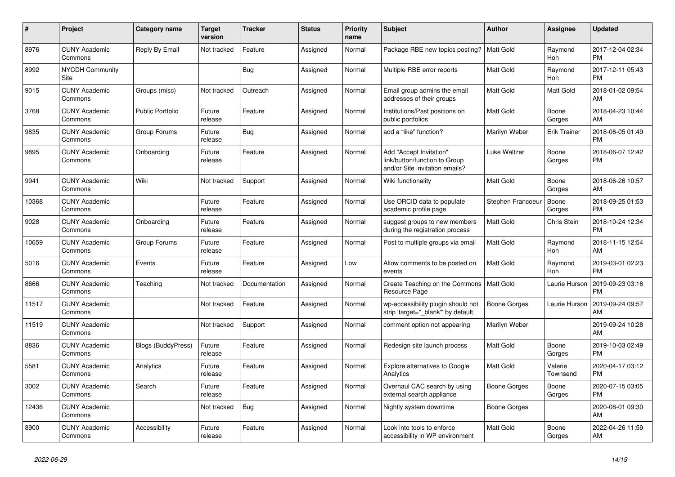| $\#$  | Project                         | <b>Category name</b>      | <b>Target</b><br>version | <b>Tracker</b> | <b>Status</b> | <b>Priority</b><br>name | <b>Subject</b>                                                                             | <b>Author</b>     | <b>Assignee</b>     | <b>Updated</b>                |
|-------|---------------------------------|---------------------------|--------------------------|----------------|---------------|-------------------------|--------------------------------------------------------------------------------------------|-------------------|---------------------|-------------------------------|
| 8976  | <b>CUNY Academic</b><br>Commons | Reply By Email            | Not tracked              | Feature        | Assigned      | Normal                  | Package RBE new topics posting?                                                            | l Matt Gold       | Raymond<br>Hoh      | 2017-12-04 02:34<br><b>PM</b> |
| 8992  | <b>NYCDH Community</b><br>Site  |                           |                          | Bug            | Assigned      | Normal                  | Multiple RBE error reports                                                                 | <b>Matt Gold</b>  | Raymond<br>Hoh      | 2017-12-11 05:43<br><b>PM</b> |
| 9015  | <b>CUNY Academic</b><br>Commons | Groups (misc)             | Not tracked              | Outreach       | Assigned      | Normal                  | Email group admins the email<br>addresses of their groups                                  | Matt Gold         | Matt Gold           | 2018-01-02 09:54<br>AM        |
| 3768  | <b>CUNY Academic</b><br>Commons | <b>Public Portfolio</b>   | Future<br>release        | Feature        | Assigned      | Normal                  | Institutions/Past positions on<br>public portfolios                                        | Matt Gold         | Boone<br>Gorges     | 2018-04-23 10:44<br>AM        |
| 9835  | <b>CUNY Academic</b><br>Commons | Group Forums              | Future<br>release        | Bug            | Assigned      | Normal                  | add a "like" function?                                                                     | Marilyn Weber     | Erik Trainer        | 2018-06-05 01:49<br><b>PM</b> |
| 9895  | <b>CUNY Academic</b><br>Commons | Onboarding                | Future<br>release        | Feature        | Assigned      | Normal                  | Add "Accept Invitation"<br>link/button/function to Group<br>and/or Site invitation emails? | Luke Waltzer      | Boone<br>Gorges     | 2018-06-07 12:42<br><b>PM</b> |
| 9941  | <b>CUNY Academic</b><br>Commons | Wiki                      | Not tracked              | Support        | Assigned      | Normal                  | Wiki functionality                                                                         | Matt Gold         | Boone<br>Gorges     | 2018-06-26 10:57<br>AM        |
| 10368 | <b>CUNY Academic</b><br>Commons |                           | Future<br>release        | Feature        | Assigned      | Normal                  | Use ORCID data to populate<br>academic profile page                                        | Stephen Francoeur | Boone<br>Gorges     | 2018-09-25 01:53<br><b>PM</b> |
| 9028  | <b>CUNY Academic</b><br>Commons | Onboarding                | Future<br>release        | Feature        | Assigned      | Normal                  | suggest groups to new members<br>during the registration process                           | Matt Gold         | Chris Stein         | 2018-10-24 12:34<br><b>PM</b> |
| 10659 | <b>CUNY Academic</b><br>Commons | Group Forums              | Future<br>release        | Feature        | Assigned      | Normal                  | Post to multiple groups via email                                                          | <b>Matt Gold</b>  | Raymond<br>Hoh      | 2018-11-15 12:54<br>AM        |
| 5016  | <b>CUNY Academic</b><br>Commons | Events                    | Future<br>release        | Feature        | Assigned      | Low                     | Allow comments to be posted on<br>events                                                   | Matt Gold         | Raymond<br>Hoh      | 2019-03-01 02:23<br><b>PM</b> |
| 8666  | <b>CUNY Academic</b><br>Commons | Teaching                  | Not tracked              | Documentation  | Assigned      | Normal                  | Create Teaching on the Commons<br>Resource Page                                            | l Matt Gold       | Laurie Hurson       | 2019-09-23 03:16<br><b>PM</b> |
| 11517 | <b>CUNY Academic</b><br>Commons |                           | Not tracked              | Feature        | Assigned      | Normal                  | wp-accessibility plugin should not<br>strip 'target="_blank"' by default                   | Boone Gorges      | Laurie Hurson       | 2019-09-24 09:57<br>AM        |
| 11519 | <b>CUNY Academic</b><br>Commons |                           | Not tracked              | Support        | Assigned      | Normal                  | comment option not appearing                                                               | Marilyn Weber     |                     | 2019-09-24 10:28<br>AM        |
| 8836  | <b>CUNY Academic</b><br>Commons | <b>Blogs (BuddyPress)</b> | Future<br>release        | Feature        | Assigned      | Normal                  | Redesign site launch process                                                               | Matt Gold         | Boone<br>Gorges     | 2019-10-03 02:49<br><b>PM</b> |
| 5581  | <b>CUNY Academic</b><br>Commons | Analytics                 | Future<br>release        | Feature        | Assigned      | Normal                  | Explore alternatives to Google<br>Analytics                                                | Matt Gold         | Valerie<br>Townsend | 2020-04-17 03:12<br><b>PM</b> |
| 3002  | <b>CUNY Academic</b><br>Commons | Search                    | Future<br>release        | Feature        | Assigned      | Normal                  | Overhaul CAC search by using<br>external search appliance                                  | Boone Gorges      | Boone<br>Gorges     | 2020-07-15 03:05<br><b>PM</b> |
| 12436 | <b>CUNY Academic</b><br>Commons |                           | Not tracked              | Bug            | Assigned      | Normal                  | Nightly system downtime                                                                    | Boone Gorges      |                     | 2020-08-01 09:30<br>AM        |
| 8900  | <b>CUNY Academic</b><br>Commons | Accessibility             | Future<br>release        | Feature        | Assigned      | Normal                  | Look into tools to enforce<br>accessibility in WP environment                              | Matt Gold         | Boone<br>Gorges     | 2022-04-26 11:59<br>AM        |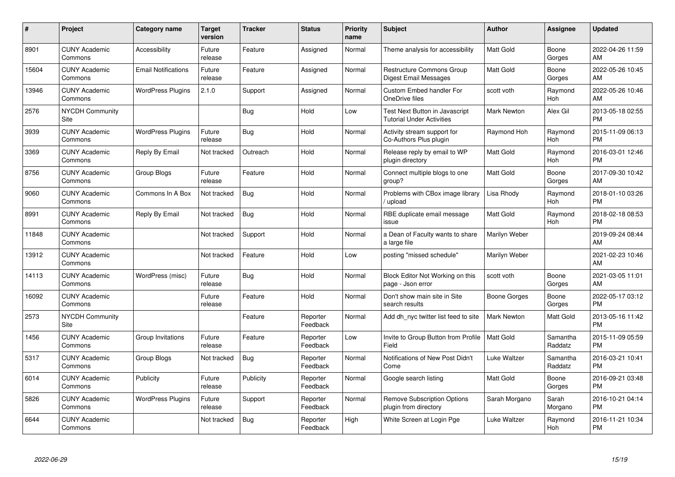| #     | Project                         | <b>Category name</b>       | <b>Target</b><br>version | <b>Tracker</b> | <b>Status</b>        | <b>Priority</b><br>name | <b>Subject</b>                                                     | <b>Author</b>      | <b>Assignee</b>     | <b>Updated</b>                |
|-------|---------------------------------|----------------------------|--------------------------|----------------|----------------------|-------------------------|--------------------------------------------------------------------|--------------------|---------------------|-------------------------------|
| 8901  | <b>CUNY Academic</b><br>Commons | Accessibility              | Future<br>release        | Feature        | Assigned             | Normal                  | Theme analysis for accessibility                                   | <b>Matt Gold</b>   | Boone<br>Gorges     | 2022-04-26 11:59<br>AM        |
| 15604 | <b>CUNY Academic</b><br>Commons | <b>Email Notifications</b> | Future<br>release        | Feature        | Assigned             | Normal                  | <b>Restructure Commons Group</b><br><b>Digest Email Messages</b>   | <b>Matt Gold</b>   | Boone<br>Gorges     | 2022-05-26 10:45<br>AM        |
| 13946 | <b>CUNY Academic</b><br>Commons | <b>WordPress Plugins</b>   | 2.1.0                    | Support        | Assigned             | Normal                  | <b>Custom Embed handler For</b><br>OneDrive files                  | scott voth         | Raymond<br>Hoh      | 2022-05-26 10:46<br>AM        |
| 2576  | <b>NYCDH Community</b><br>Site  |                            |                          | Bug            | Hold                 | Low                     | Test Next Button in Javascript<br><b>Tutorial Under Activities</b> | <b>Mark Newton</b> | Alex Gil            | 2013-05-18 02:55<br><b>PM</b> |
| 3939  | <b>CUNY Academic</b><br>Commons | <b>WordPress Plugins</b>   | Future<br>release        | <b>Bug</b>     | Hold                 | Normal                  | Activity stream support for<br>Co-Authors Plus plugin              | Raymond Hoh        | Raymond<br>Hoh      | 2015-11-09 06:13<br><b>PM</b> |
| 3369  | <b>CUNY Academic</b><br>Commons | Reply By Email             | Not tracked              | Outreach       | Hold                 | Normal                  | Release reply by email to WP<br>plugin directory                   | Matt Gold          | Raymond<br>Hoh      | 2016-03-01 12:46<br><b>PM</b> |
| 8756  | <b>CUNY Academic</b><br>Commons | Group Blogs                | Future<br>release        | Feature        | Hold                 | Normal                  | Connect multiple blogs to one<br>group?                            | <b>Matt Gold</b>   | Boone<br>Gorges     | 2017-09-30 10:42<br>AM        |
| 9060  | <b>CUNY Academic</b><br>Commons | Commons In A Box           | Not tracked              | Bug            | Hold                 | Normal                  | Problems with CBox image library<br>/ upload                       | Lisa Rhody         | Raymond<br>Hoh      | 2018-01-10 03:26<br><b>PM</b> |
| 8991  | <b>CUNY Academic</b><br>Commons | Reply By Email             | Not tracked              | Bug            | Hold                 | Normal                  | RBE duplicate email message<br>issue                               | <b>Matt Gold</b>   | Raymond<br>Hoh      | 2018-02-18 08:53<br><b>PM</b> |
| 11848 | <b>CUNY Academic</b><br>Commons |                            | Not tracked              | Support        | Hold                 | Normal                  | a Dean of Faculty wants to share<br>a large file                   | Marilyn Weber      |                     | 2019-09-24 08:44<br>AM        |
| 13912 | <b>CUNY Academic</b><br>Commons |                            | Not tracked              | Feature        | Hold                 | Low                     | posting "missed schedule"                                          | Marilyn Weber      |                     | 2021-02-23 10:46<br>AM        |
| 14113 | <b>CUNY Academic</b><br>Commons | WordPress (misc)           | Future<br>release        | Bug            | Hold                 | Normal                  | Block Editor Not Working on this<br>page - Json error              | scott voth         | Boone<br>Gorges     | 2021-03-05 11:01<br>AM        |
| 16092 | <b>CUNY Academic</b><br>Commons |                            | Future<br>release        | Feature        | Hold                 | Normal                  | Don't show main site in Site<br>search results                     | Boone Gorges       | Boone<br>Gorges     | 2022-05-17 03:12<br><b>PM</b> |
| 2573  | <b>NYCDH Community</b><br>Site  |                            |                          | Feature        | Reporter<br>Feedback | Normal                  | Add dh_nyc twitter list feed to site                               | <b>Mark Newton</b> | Matt Gold           | 2013-05-16 11:42<br><b>PM</b> |
| 1456  | <b>CUNY Academic</b><br>Commons | Group Invitations          | Future<br>release        | Feature        | Reporter<br>Feedback | Low                     | Invite to Group Button from Profile<br>Field                       | Matt Gold          | Samantha<br>Raddatz | 2015-11-09 05:59<br><b>PM</b> |
| 5317  | <b>CUNY Academic</b><br>Commons | Group Blogs                | Not tracked              | <b>Bug</b>     | Reporter<br>Feedback | Normal                  | Notifications of New Post Didn't<br>Come                           | Luke Waltzer       | Samantha<br>Raddatz | 2016-03-21 10:41<br><b>PM</b> |
| 6014  | <b>CUNY Academic</b><br>Commons | Publicity                  | Future<br>release        | Publicity      | Reporter<br>Feedback | Normal                  | Google search listing                                              | <b>Matt Gold</b>   | Boone<br>Gorges     | 2016-09-21 03:48<br><b>PM</b> |
| 5826  | <b>CUNY Academic</b><br>Commons | <b>WordPress Plugins</b>   | Future<br>release        | Support        | Reporter<br>Feedback | Normal                  | <b>Remove Subscription Options</b><br>plugin from directory        | Sarah Morgano      | Sarah<br>Morgano    | 2016-10-21 04:14<br><b>PM</b> |
| 6644  | <b>CUNY Academic</b><br>Commons |                            | Not tracked              | Bug            | Reporter<br>Feedback | High                    | White Screen at Login Pge                                          | Luke Waltzer       | Raymond<br>Hoh      | 2016-11-21 10:34<br><b>PM</b> |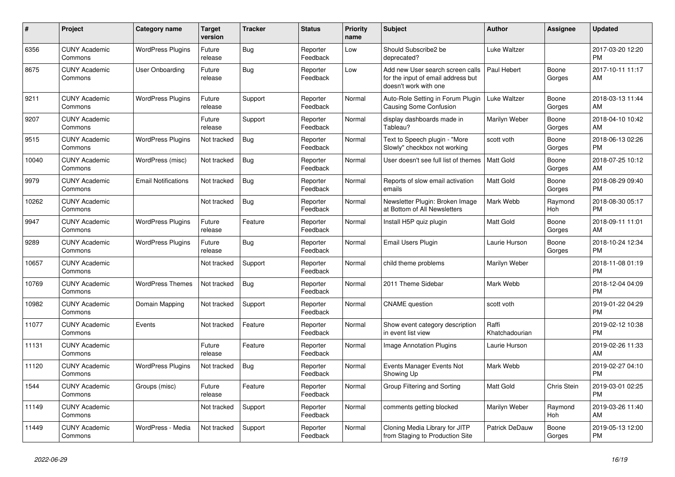| #     | <b>Project</b>                  | Category name              | <b>Target</b><br>version | <b>Tracker</b> | <b>Status</b>        | <b>Priority</b><br>name | <b>Subject</b>                                                                                  | <b>Author</b>           | Assignee        | <b>Updated</b>                |
|-------|---------------------------------|----------------------------|--------------------------|----------------|----------------------|-------------------------|-------------------------------------------------------------------------------------------------|-------------------------|-----------------|-------------------------------|
| 6356  | <b>CUNY Academic</b><br>Commons | <b>WordPress Plugins</b>   | Future<br>release        | Bug            | Reporter<br>Feedback | Low                     | Should Subscribe2 be<br>deprecated?                                                             | Luke Waltzer            |                 | 2017-03-20 12:20<br><b>PM</b> |
| 8675  | <b>CUNY Academic</b><br>Commons | User Onboarding            | Future<br>release        | Bug            | Reporter<br>Feedback | Low                     | Add new User search screen calls<br>for the input of email address but<br>doesn't work with one | Paul Hebert             | Boone<br>Gorges | 2017-10-11 11:17<br>AM        |
| 9211  | <b>CUNY Academic</b><br>Commons | <b>WordPress Plugins</b>   | Future<br>release        | Support        | Reporter<br>Feedback | Normal                  | Auto-Role Setting in Forum Plugin<br>Causing Some Confusion                                     | Luke Waltzer            | Boone<br>Gorges | 2018-03-13 11:44<br>AM        |
| 9207  | <b>CUNY Academic</b><br>Commons |                            | Future<br>release        | Support        | Reporter<br>Feedback | Normal                  | display dashboards made in<br>Tableau?                                                          | Marilyn Weber           | Boone<br>Gorges | 2018-04-10 10:42<br>AM        |
| 9515  | <b>CUNY Academic</b><br>Commons | <b>WordPress Plugins</b>   | Not tracked              | <b>Bug</b>     | Reporter<br>Feedback | Normal                  | Text to Speech plugin - "More<br>Slowly" checkbox not working                                   | scott voth              | Boone<br>Gorges | 2018-06-13 02:26<br><b>PM</b> |
| 10040 | <b>CUNY Academic</b><br>Commons | WordPress (misc)           | Not tracked              | <b>Bug</b>     | Reporter<br>Feedback | Normal                  | User doesn't see full list of themes                                                            | <b>Matt Gold</b>        | Boone<br>Gorges | 2018-07-25 10:12<br>AM        |
| 9979  | <b>CUNY Academic</b><br>Commons | <b>Email Notifications</b> | Not tracked              | <b>Bug</b>     | Reporter<br>Feedback | Normal                  | Reports of slow email activation<br>emails                                                      | <b>Matt Gold</b>        | Boone<br>Gorges | 2018-08-29 09:40<br><b>PM</b> |
| 10262 | <b>CUNY Academic</b><br>Commons |                            | Not tracked              | <b>Bug</b>     | Reporter<br>Feedback | Normal                  | Newsletter Plugin: Broken Image<br>at Bottom of All Newsletters                                 | Mark Webb               | Raymond<br>Hoh  | 2018-08-30 05:17<br><b>PM</b> |
| 9947  | <b>CUNY Academic</b><br>Commons | <b>WordPress Plugins</b>   | Future<br>release        | Feature        | Reporter<br>Feedback | Normal                  | Install H5P quiz plugin                                                                         | Matt Gold               | Boone<br>Gorges | 2018-09-11 11:01<br>AM        |
| 9289  | <b>CUNY Academic</b><br>Commons | <b>WordPress Plugins</b>   | Future<br>release        | Bug            | Reporter<br>Feedback | Normal                  | Email Users Plugin                                                                              | Laurie Hurson           | Boone<br>Gorges | 2018-10-24 12:34<br><b>PM</b> |
| 10657 | <b>CUNY Academic</b><br>Commons |                            | Not tracked              | Support        | Reporter<br>Feedback | Normal                  | child theme problems                                                                            | Marilyn Weber           |                 | 2018-11-08 01:19<br><b>PM</b> |
| 10769 | <b>CUNY Academic</b><br>Commons | <b>WordPress Themes</b>    | Not tracked              | <b>Bug</b>     | Reporter<br>Feedback | Normal                  | 2011 Theme Sidebar                                                                              | Mark Webb               |                 | 2018-12-04 04:09<br><b>PM</b> |
| 10982 | <b>CUNY Academic</b><br>Commons | Domain Mapping             | Not tracked              | Support        | Reporter<br>Feedback | Normal                  | <b>CNAME</b> question                                                                           | scott voth              |                 | 2019-01-22 04:29<br><b>PM</b> |
| 11077 | <b>CUNY Academic</b><br>Commons | Events                     | Not tracked              | Feature        | Reporter<br>Feedback | Normal                  | Show event category description<br>in event list view                                           | Raffi<br>Khatchadourian |                 | 2019-02-12 10:38<br><b>PM</b> |
| 11131 | <b>CUNY Academic</b><br>Commons |                            | Future<br>release        | Feature        | Reporter<br>Feedback | Normal                  | Image Annotation Plugins                                                                        | Laurie Hurson           |                 | 2019-02-26 11:33<br>AM        |
| 11120 | <b>CUNY Academic</b><br>Commons | <b>WordPress Plugins</b>   | Not tracked              | Bug            | Reporter<br>Feedback | Normal                  | Events Manager Events Not<br>Showing Up                                                         | Mark Webb               |                 | 2019-02-27 04:10<br><b>PM</b> |
| 1544  | <b>CUNY Academic</b><br>Commons | Groups (misc)              | Future<br>release        | Feature        | Reporter<br>Feedback | Normal                  | Group Filtering and Sorting                                                                     | <b>Matt Gold</b>        | Chris Stein     | 2019-03-01 02:25<br><b>PM</b> |
| 11149 | <b>CUNY Academic</b><br>Commons |                            | Not tracked              | Support        | Reporter<br>Feedback | Normal                  | comments getting blocked                                                                        | Marilyn Weber           | Raymond<br>Hoh  | 2019-03-26 11:40<br>AM        |
| 11449 | <b>CUNY Academic</b><br>Commons | WordPress - Media          | Not tracked              | Support        | Reporter<br>Feedback | Normal                  | Cloning Media Library for JITP<br>from Staging to Production Site                               | <b>Patrick DeDauw</b>   | Boone<br>Gorges | 2019-05-13 12:00<br><b>PM</b> |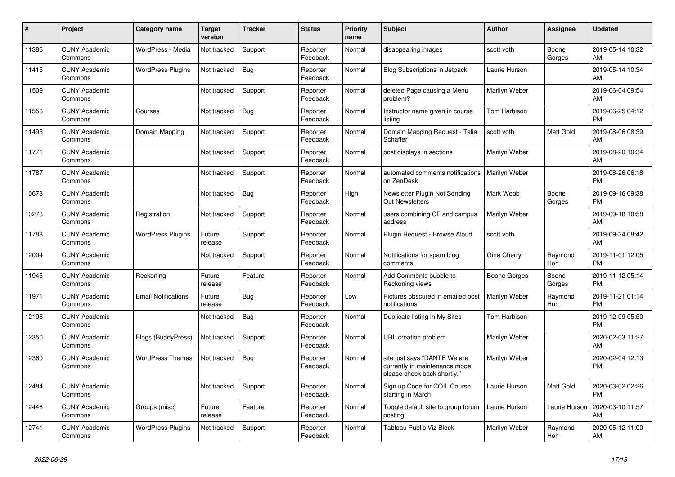| #     | Project                         | <b>Category name</b>       | <b>Target</b><br>version | <b>Tracker</b> | <b>Status</b>        | <b>Priority</b><br>name | <b>Subject</b>                                                                                | <b>Author</b>        | <b>Assignee</b> | <b>Updated</b>                |
|-------|---------------------------------|----------------------------|--------------------------|----------------|----------------------|-------------------------|-----------------------------------------------------------------------------------------------|----------------------|-----------------|-------------------------------|
| 11386 | <b>CUNY Academic</b><br>Commons | WordPress - Media          | Not tracked              | Support        | Reporter<br>Feedback | Normal                  | disappearing images                                                                           | scott voth           | Boone<br>Gorges | 2019-05-14 10:32<br>AM        |
| 11415 | <b>CUNY Academic</b><br>Commons | <b>WordPress Plugins</b>   | Not tracked              | Bug            | Reporter<br>Feedback | Normal                  | <b>Blog Subscriptions in Jetpack</b>                                                          | Laurie Hurson        |                 | 2019-05-14 10:34<br>AM        |
| 11509 | <b>CUNY Academic</b><br>Commons |                            | Not tracked              | Support        | Reporter<br>Feedback | Normal                  | deleted Page causing a Menu<br>problem?                                                       | Marilyn Weber        |                 | 2019-06-04 09:54<br>AM        |
| 11556 | <b>CUNY Academic</b><br>Commons | Courses                    | Not tracked              | <b>Bug</b>     | Reporter<br>Feedback | Normal                  | Instructor name given in course<br>listing                                                    | Tom Harbison         |                 | 2019-06-25 04:12<br><b>PM</b> |
| 11493 | <b>CUNY Academic</b><br>Commons | Domain Mapping             | Not tracked              | Support        | Reporter<br>Feedback | Normal                  | Domain Mapping Request - Talia<br>Schaffer                                                    | scott voth           | Matt Gold       | 2019-08-06 08:39<br>AM        |
| 11771 | <b>CUNY Academic</b><br>Commons |                            | Not tracked              | Support        | Reporter<br>Feedback | Normal                  | post displays in sections                                                                     | Marilyn Weber        |                 | 2019-08-20 10:34<br>AM        |
| 11787 | <b>CUNY Academic</b><br>Commons |                            | Not tracked              | Support        | Reporter<br>Feedback | Normal                  | automated comments notifications<br>on ZenDesk                                                | Marilyn Weber        |                 | 2019-08-26 06:18<br><b>PM</b> |
| 10678 | <b>CUNY Academic</b><br>Commons |                            | Not tracked              | Bug            | Reporter<br>Feedback | High                    | Newsletter Plugin Not Sending<br><b>Out Newsletters</b>                                       | Mark Webb            | Boone<br>Gorges | 2019-09-16 09:38<br><b>PM</b> |
| 10273 | <b>CUNY Academic</b><br>Commons | Registration               | Not tracked              | Support        | Reporter<br>Feedback | Normal                  | users combining CF and campus<br>address                                                      | Marilyn Weber        |                 | 2019-09-18 10:58<br>AM        |
| 11788 | <b>CUNY Academic</b><br>Commons | <b>WordPress Plugins</b>   | Future<br>release        | Support        | Reporter<br>Feedback | Normal                  | Plugin Request - Browse Aloud                                                                 | scott voth           |                 | 2019-09-24 08:42<br>AM        |
| 12004 | <b>CUNY Academic</b><br>Commons |                            | Not tracked              | Support        | Reporter<br>Feedback | Normal                  | Notifications for spam blog<br>comments                                                       | Gina Cherry          | Raymond<br>Hoh  | 2019-11-01 12:05<br><b>PM</b> |
| 11945 | <b>CUNY Academic</b><br>Commons | Reckoning                  | Future<br>release        | Feature        | Reporter<br>Feedback | Normal                  | Add Comments bubble to<br>Reckoning views                                                     | Boone Gorges         | Boone<br>Gorges | 2019-11-12 05:14<br><b>PM</b> |
| 11971 | <b>CUNY Academic</b><br>Commons | <b>Email Notifications</b> | Future<br>release        | <b>Bug</b>     | Reporter<br>Feedback | Low                     | Pictures obscured in emailed post<br>notifications                                            | <b>Marilyn Weber</b> | Raymond<br>Hoh  | 2019-11-21 01:14<br><b>PM</b> |
| 12198 | <b>CUNY Academic</b><br>Commons |                            | Not tracked              | Bug            | Reporter<br>Feedback | Normal                  | Duplicate listing in My Sites                                                                 | Tom Harbison         |                 | 2019-12-09 05:50<br><b>PM</b> |
| 12350 | <b>CUNY Academic</b><br>Commons | <b>Blogs (BuddyPress)</b>  | Not tracked              | Support        | Reporter<br>Feedback | Normal                  | URL creation problem                                                                          | Marilyn Weber        |                 | 2020-02-03 11:27<br>AM        |
| 12360 | <b>CUNY Academic</b><br>Commons | <b>WordPress Themes</b>    | Not tracked              | <b>Bug</b>     | Reporter<br>Feedback | Normal                  | site just says "DANTE We are<br>currently in maintenance mode,<br>please check back shortly." | Marilyn Weber        |                 | 2020-02-04 12:13<br><b>PM</b> |
| 12484 | <b>CUNY Academic</b><br>Commons |                            | Not tracked              | Support        | Reporter<br>Feedback | Normal                  | Sign up Code for COIL Course<br>starting in March                                             | Laurie Hurson        | Matt Gold       | 2020-03-02 02:26<br><b>PM</b> |
| 12446 | <b>CUNY Academic</b><br>Commons | Groups (misc)              | Future<br>release        | Feature        | Reporter<br>Feedback | Normal                  | Toggle default site to group forum<br>posting                                                 | Laurie Hurson        | Laurie Hurson   | 2020-03-10 11:57<br>AM        |
| 12741 | <b>CUNY Academic</b><br>Commons | <b>WordPress Plugins</b>   | Not tracked              | Support        | Reporter<br>Feedback | Normal                  | <b>Tableau Public Viz Block</b>                                                               | Marilyn Weber        | Raymond<br>Hoh  | 2020-05-12 11:00<br>AM        |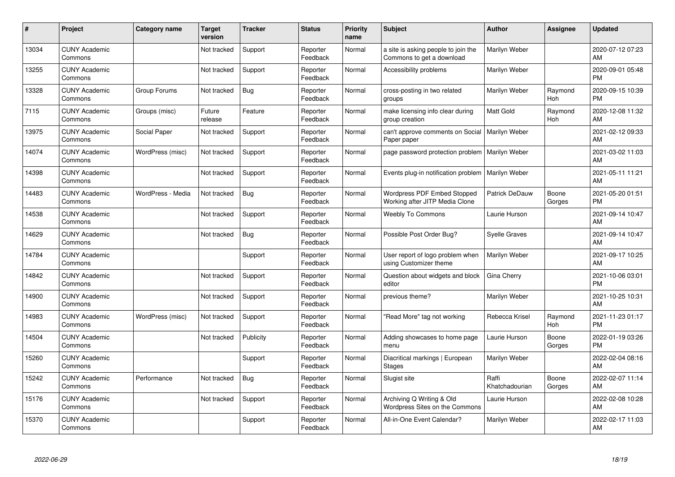| #     | Project                         | Category name     | <b>Target</b><br>version | <b>Tracker</b> | <b>Status</b>        | <b>Priority</b><br>name | <b>Subject</b>                                                       | <b>Author</b>           | Assignee        | <b>Updated</b>                |
|-------|---------------------------------|-------------------|--------------------------|----------------|----------------------|-------------------------|----------------------------------------------------------------------|-------------------------|-----------------|-------------------------------|
| 13034 | <b>CUNY Academic</b><br>Commons |                   | Not tracked              | Support        | Reporter<br>Feedback | Normal                  | a site is asking people to join the<br>Commons to get a download     | Marilyn Weber           |                 | 2020-07-12 07:23<br><b>AM</b> |
| 13255 | <b>CUNY Academic</b><br>Commons |                   | Not tracked              | Support        | Reporter<br>Feedback | Normal                  | Accessibility problems                                               | Marilyn Weber           |                 | 2020-09-01 05:48<br><b>PM</b> |
| 13328 | <b>CUNY Academic</b><br>Commons | Group Forums      | Not tracked              | Bug            | Reporter<br>Feedback | Normal                  | cross-posting in two related<br>groups                               | Marilyn Weber           | Raymond<br>Hoh  | 2020-09-15 10:39<br><b>PM</b> |
| 7115  | <b>CUNY Academic</b><br>Commons | Groups (misc)     | Future<br>release        | Feature        | Reporter<br>Feedback | Normal                  | make licensing info clear during<br>group creation                   | <b>Matt Gold</b>        | Raymond<br>Hoh  | 2020-12-08 11:32<br>AM        |
| 13975 | <b>CUNY Academic</b><br>Commons | Social Paper      | Not tracked              | Support        | Reporter<br>Feedback | Normal                  | can't approve comments on Social<br>Paper paper                      | Marilyn Weber           |                 | 2021-02-12 09:33<br><b>AM</b> |
| 14074 | <b>CUNY Academic</b><br>Commons | WordPress (misc)  | Not tracked              | Support        | Reporter<br>Feedback | Normal                  | page password protection problem                                     | Marilyn Weber           |                 | 2021-03-02 11:03<br>AM        |
| 14398 | <b>CUNY Academic</b><br>Commons |                   | Not tracked              | Support        | Reporter<br>Feedback | Normal                  | Events plug-in notification problem                                  | Marilyn Weber           |                 | 2021-05-11 11:21<br>AM        |
| 14483 | <b>CUNY Academic</b><br>Commons | WordPress - Media | Not tracked              | Bug            | Reporter<br>Feedback | Normal                  | <b>Wordpress PDF Embed Stopped</b><br>Working after JITP Media Clone | Patrick DeDauw          | Boone<br>Gorges | 2021-05-20 01:51<br><b>PM</b> |
| 14538 | <b>CUNY Academic</b><br>Commons |                   | Not tracked              | Support        | Reporter<br>Feedback | Normal                  | <b>Weebly To Commons</b>                                             | Laurie Hurson           |                 | 2021-09-14 10:47<br>AM        |
| 14629 | <b>CUNY Academic</b><br>Commons |                   | Not tracked              | Bug            | Reporter<br>Feedback | Normal                  | Possible Post Order Bug?                                             | <b>Syelle Graves</b>    |                 | 2021-09-14 10:47<br>AM        |
| 14784 | <b>CUNY Academic</b><br>Commons |                   |                          | Support        | Reporter<br>Feedback | Normal                  | User report of logo problem when<br>using Customizer theme           | Marilyn Weber           |                 | 2021-09-17 10:25<br>AM        |
| 14842 | <b>CUNY Academic</b><br>Commons |                   | Not tracked              | Support        | Reporter<br>Feedback | Normal                  | Question about widgets and block<br>editor                           | Gina Cherry             |                 | 2021-10-06 03:01<br><b>PM</b> |
| 14900 | <b>CUNY Academic</b><br>Commons |                   | Not tracked              | Support        | Reporter<br>Feedback | Normal                  | previous theme?                                                      | Marilyn Weber           |                 | 2021-10-25 10:31<br>AM        |
| 14983 | <b>CUNY Academic</b><br>Commons | WordPress (misc)  | Not tracked              | Support        | Reporter<br>Feedback | Normal                  | "Read More" tag not working                                          | Rebecca Krisel          | Raymond<br>Hoh  | 2021-11-23 01:17<br><b>PM</b> |
| 14504 | <b>CUNY Academic</b><br>Commons |                   | Not tracked              | Publicity      | Reporter<br>Feedback | Normal                  | Adding showcases to home page<br>menu                                | Laurie Hurson           | Boone<br>Gorges | 2022-01-19 03:26<br><b>PM</b> |
| 15260 | <b>CUNY Academic</b><br>Commons |                   |                          | Support        | Reporter<br>Feedback | Normal                  | Diacritical markings   European<br><b>Stages</b>                     | Marilyn Weber           |                 | 2022-02-04 08:16<br>AM        |
| 15242 | <b>CUNY Academic</b><br>Commons | Performance       | Not tracked              | Bug            | Reporter<br>Feedback | Normal                  | Slugist site                                                         | Raffi<br>Khatchadourian | Boone<br>Gorges | 2022-02-07 11:14<br>AM        |
| 15176 | <b>CUNY Academic</b><br>Commons |                   | Not tracked              | Support        | Reporter<br>Feedback | Normal                  | Archiving Q Writing & Old<br>Wordpress Sites on the Commons          | Laurie Hurson           |                 | 2022-02-08 10:28<br>AM        |
| 15370 | <b>CUNY Academic</b><br>Commons |                   |                          | Support        | Reporter<br>Feedback | Normal                  | All-in-One Event Calendar?                                           | Marilyn Weber           |                 | 2022-02-17 11:03<br>AM        |